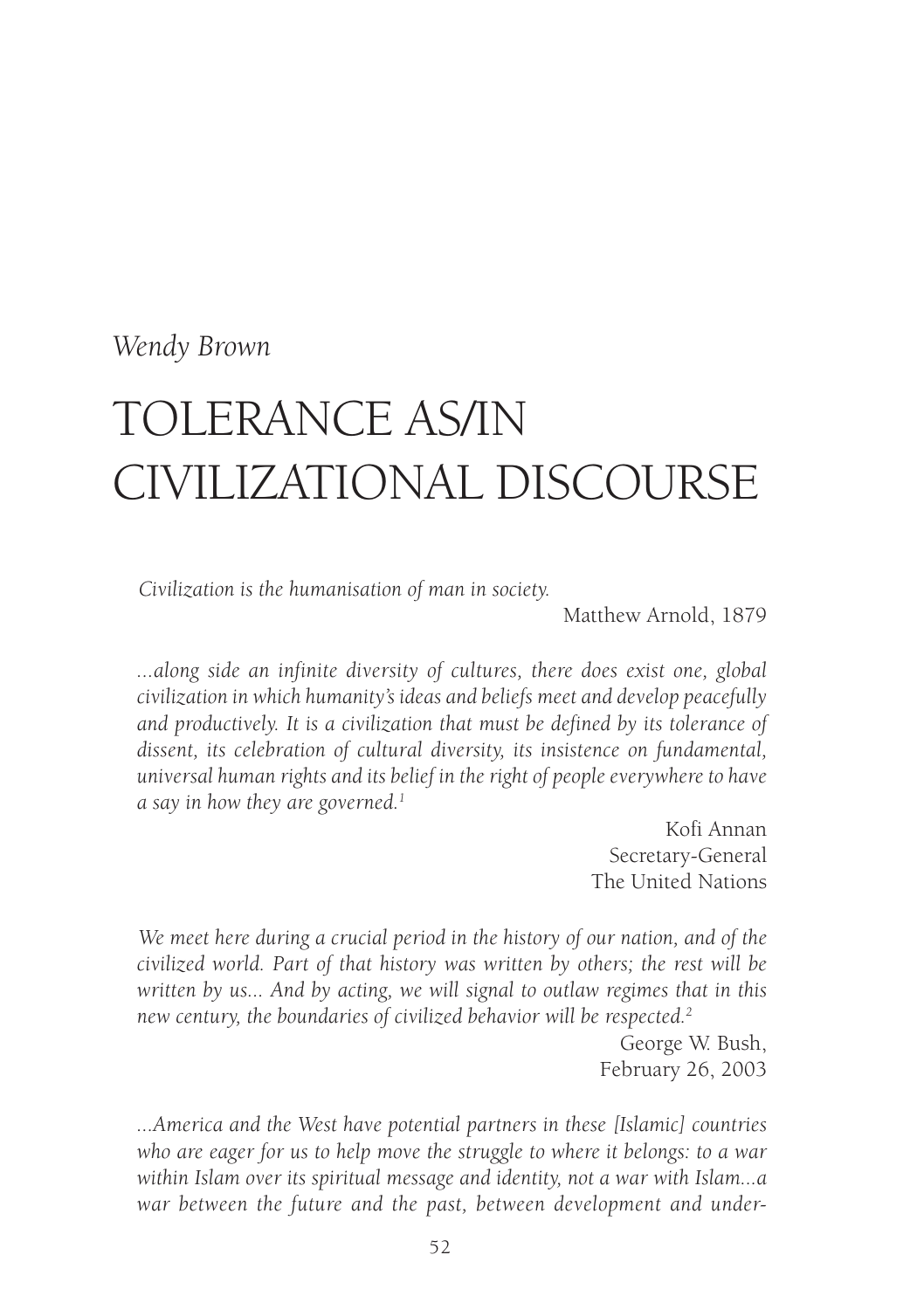### *Wendy Brown*

# TOLERANCE AS/IN CIVILIZATIONAL DISCOURSE

*Civilization is the humanisation of man in society.*

Matthew Arnold, 1879

*...along side an infinite diversity of cultures, there does exist one, global civilization in which humanity's ideas and beliefs meet and develop peacefully and productively. It is a civilization that must be defined by its tolerance of dissent, its celebration of cultural diversity, its insistence on fundamental, universal human rights and its belief in the right of people everywhere to have a say in how they are governed.1*

> Kofi Annan Secretary-General The United Nations

*We meet here during a crucial period in the history of our nation, and of the civilized world. Part of that history was written by others; the rest will be written by us... And by acting, we will signal to outlaw regimes that in this new century, the boundaries of civilized behavior will be respected.2*

> George W. Bush, February 26, 2003

*...America and the West have potential partners in these [Islamic] countries who are eager for us to help move the struggle to where it belongs: to a war within Islam over its spiritual message and identity, not a war with Islam...a war between the future and the past, between development and under-*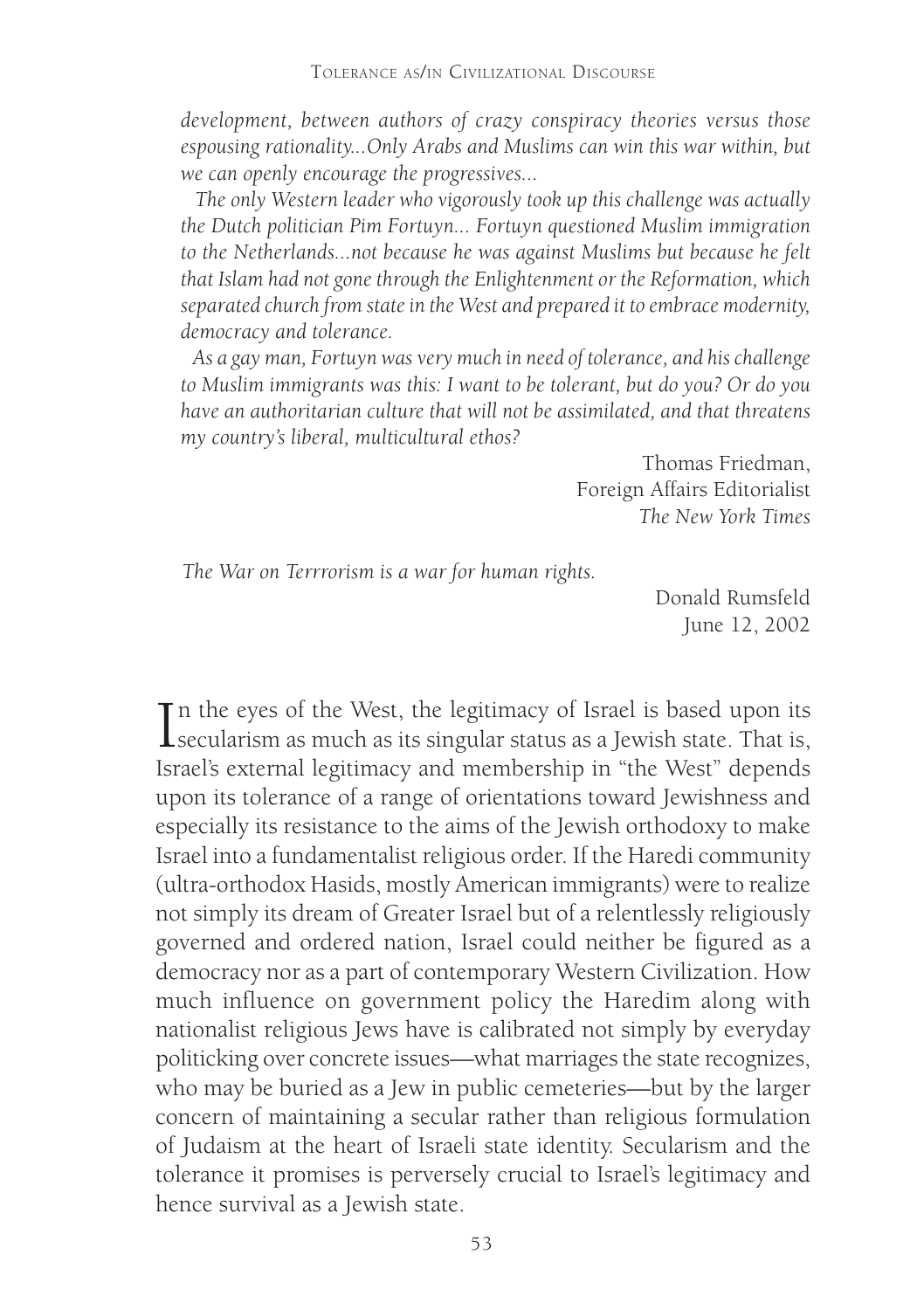*development, between authors of crazy conspiracy theories versus those espousing rationality...Only Arabs and Muslims can win this war within, but we can openly encourage the progressives...*

 *The only Western leader who vigorously took up this challenge was actually the Dutch politician Pim Fortuyn... Fortuyn questioned Muslim immigration to the Netherlands...not because he was against Muslims but because he felt that Islam had not gone through the Enlightenment or the Reformation, which separated church from state in the West and prepared it to embrace modernity, democracy and tolerance.*

 *As a gay man, Fortuyn was very much in need of tolerance, and his challenge to Muslim immigrants was this: I want to be tolerant, but do you? Or do you have an authoritarian culture that will not be assimilated, and that threatens my country's liberal, multicultural ethos?*

> Thomas Friedman, Foreign Affairs Editorialist *The New York Times*

*The War on Terrrorism is a war for human rights.*

 Donald Rumsfeld June 12, 2002

In the eyes of the West, the legitimacy of Israel is based upon its<br>secularism as much as its singular status as a Jewish state. That is,<br>Inval's actually status as a Jewish in "the West" durant n the eyes of the West, the legitimacy of Israel is based upon its Israel's external legitimacy and membership in "the West" depends upon its tolerance of a range of orientations toward Jewishness and especially its resistance to the aims of the Jewish orthodoxy to make Israel into a fundamentalist religious order. If the Haredi community (ultra-orthodox Hasids, mostly American immigrants) were to realize not simply its dream of Greater Israel but of a relentlessly religiously governed and ordered nation, Israel could neither be figured as a democracy nor as a part of contemporary Western Civilization. How much influence on government policy the Haredim along with nationalist religious Jews have is calibrated not simply by everyday politicking over concrete issues—what marriages the state recognizes, who may be buried as a Jew in public cemeteries—but by the larger concern of maintaining a secular rather than religious formulation of Judaism at the heart of Israeli state identity. Secularism and the tolerance it promises is perversely crucial to Israel's legitimacy and hence survival as a Jewish state.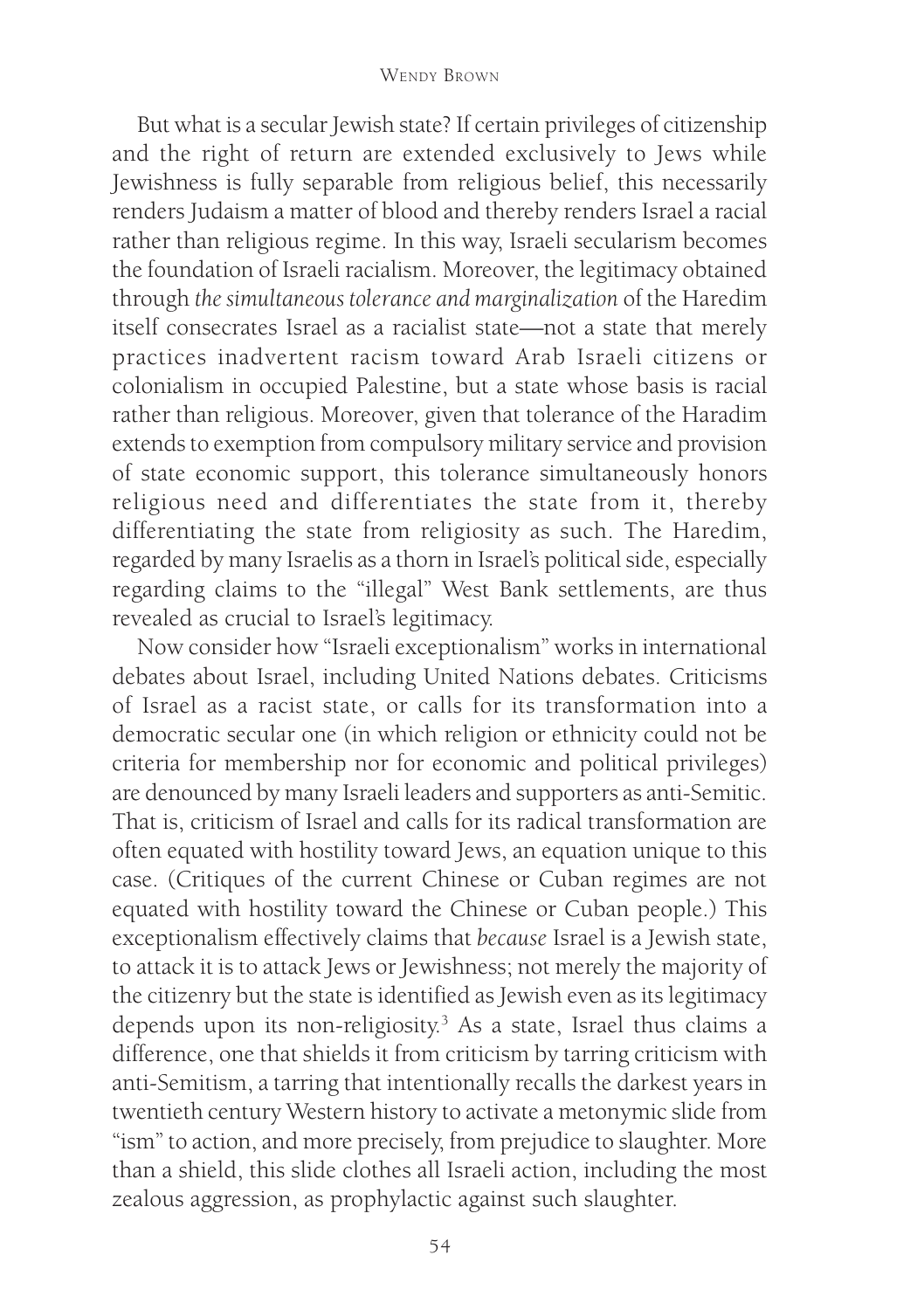But what is a secular Jewish state? If certain privileges of citizenship and the right of return are extended exclusively to Jews while Jewishness is fully separable from religious belief, this necessarily renders Judaism a matter of blood and thereby renders Israel a racial rather than religious regime. In this way, Israeli secularism becomes the foundation of Israeli racialism. Moreover, the legitimacy obtained through *the simultaneous tolerance and marginalization* of the Haredim itself consecrates Israel as a racialist state—not a state that merely practices inadvertent racism toward Arab Israeli citizens or colonialism in occupied Palestine, but a state whose basis is racial rather than religious. Moreover, given that tolerance of the Haradim extends to exemption from compulsory military service and provision of state economic support, this tolerance simultaneously honors religious need and differentiates the state from it, thereby differentiating the state from religiosity as such. The Haredim, regarded by many Israelis as a thorn in Israel's political side, especially regarding claims to the "illegal" West Bank settlements, are thus revealed as crucial to Israel's legitimacy.

Now consider how "Israeli exceptionalism" works in international debates about Israel, including United Nations debates. Criticisms of Israel as a racist state, or calls for its transformation into a democratic secular one (in which religion or ethnicity could not be criteria for membership nor for economic and political privileges) are denounced by many Israeli leaders and supporters as anti-Semitic. That is, criticism of Israel and calls for its radical transformation are often equated with hostility toward Jews, an equation unique to this case. (Critiques of the current Chinese or Cuban regimes are not equated with hostility toward the Chinese or Cuban people.) This exceptionalism effectively claims that *because* Israel is a Jewish state, to attack it is to attack Jews or Jewishness; not merely the majority of the citizenry but the state is identified as Jewish even as its legitimacy depends upon its non-religiosity.<sup>3</sup> As a state, Israel thus claims a difference, one that shields it from criticism by tarring criticism with anti-Semitism, a tarring that intentionally recalls the darkest years in twentieth century Western history to activate a metonymic slide from "ism" to action, and more precisely, from prejudice to slaughter. More than a shield, this slide clothes all Israeli action, including the most zealous aggression, as prophylactic against such slaughter.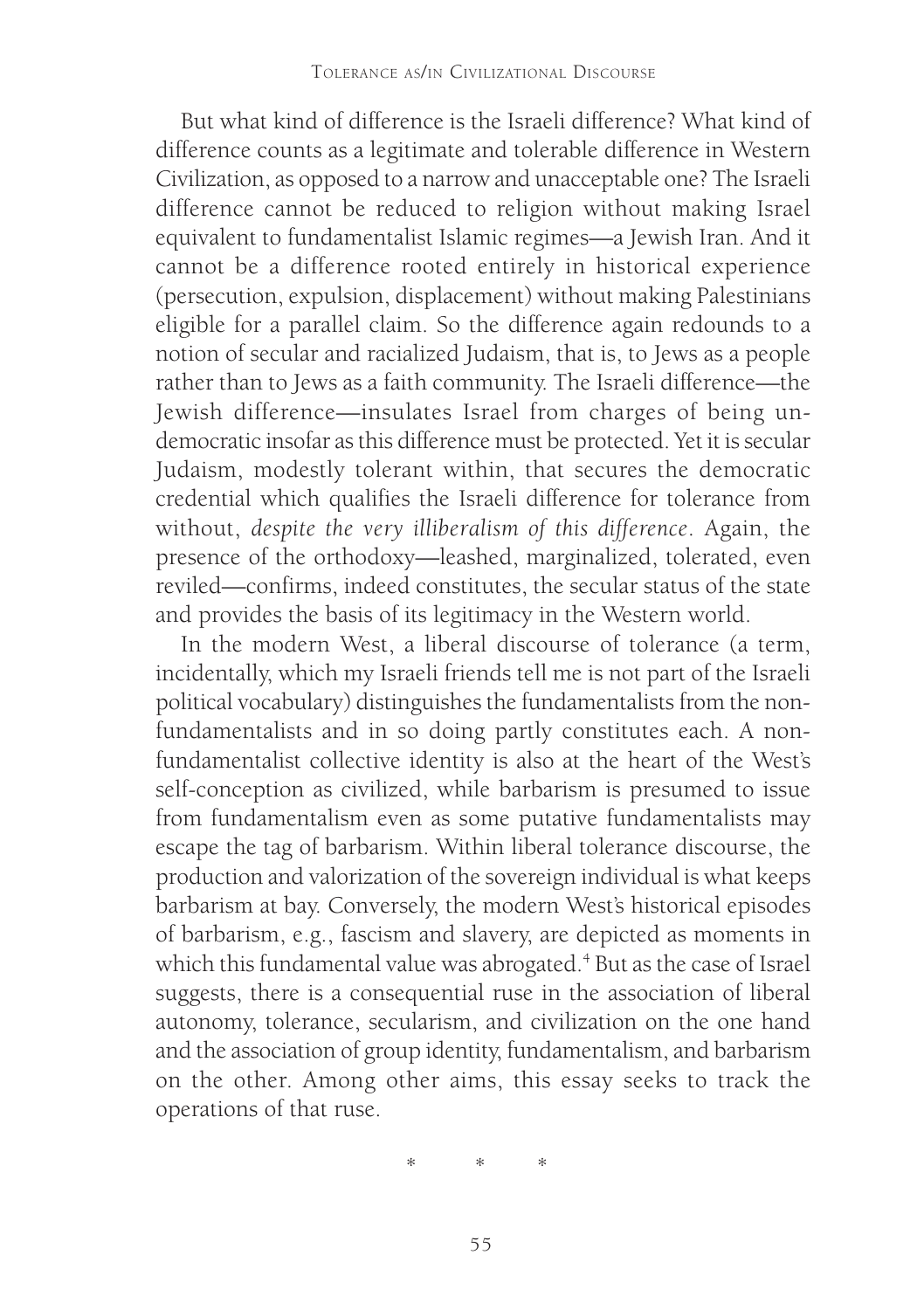But what kind of difference is the Israeli difference? What kind of difference counts as a legitimate and tolerable difference in Western Civilization, as opposed to a narrow and unacceptable one? The Israeli difference cannot be reduced to religion without making Israel equivalent to fundamentalist Islamic regimes—a Jewish Iran. And it cannot be a difference rooted entirely in historical experience (persecution, expulsion, displacement) without making Palestinians eligible for a parallel claim. So the difference again redounds to a notion of secular and racialized Judaism, that is, to Jews as a people rather than to Jews as a faith community. The Israeli difference—the Jewish difference—insulates Israel from charges of being undemocratic insofar as this difference must be protected. Yet it is secular Judaism, modestly tolerant within, that secures the democratic credential which qualifies the Israeli difference for tolerance from without, *despite the very illiberalism of this difference*. Again, the presence of the orthodoxy—leashed, marginalized, tolerated, even reviled—confirms, indeed constitutes, the secular status of the state and provides the basis of its legitimacy in the Western world.

In the modern West, a liberal discourse of tolerance (a term, incidentally, which my Israeli friends tell me is not part of the Israeli political vocabulary) distinguishes the fundamentalists from the nonfundamentalists and in so doing partly constitutes each. A nonfundamentalist collective identity is also at the heart of the West's self-conception as civilized, while barbarism is presumed to issue from fundamentalism even as some putative fundamentalists may escape the tag of barbarism. Within liberal tolerance discourse, the production and valorization of the sovereign individual is what keeps barbarism at bay. Conversely, the modern West's historical episodes of barbarism, e.g., fascism and slavery, are depicted as moments in which this fundamental value was abrogated.<sup>4</sup> But as the case of Israel suggests, there is a consequential ruse in the association of liberal autonomy, tolerance, secularism, and civilization on the one hand and the association of group identity, fundamentalism, and barbarism on the other. Among other aims, this essay seeks to track the operations of that ruse.

\* \* \*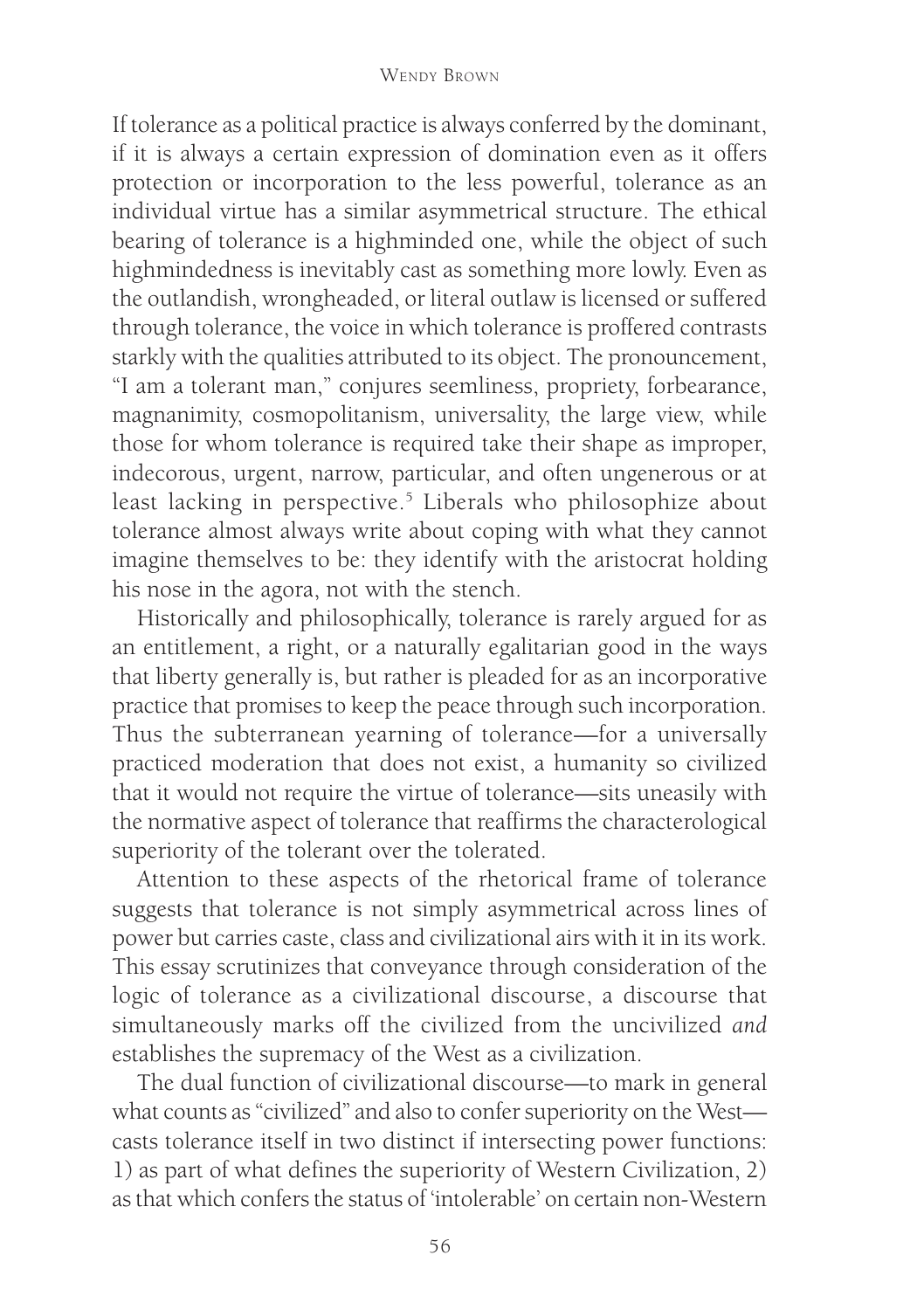If tolerance as a political practice is always conferred by the dominant, if it is always a certain expression of domination even as it offers protection or incorporation to the less powerful, tolerance as an individual virtue has a similar asymmetrical structure. The ethical bearing of tolerance is a highminded one, while the object of such highmindedness is inevitably cast as something more lowly. Even as the outlandish, wrongheaded, or literal outlaw is licensed or suffered through tolerance, the voice in which tolerance is proffered contrasts starkly with the qualities attributed to its object. The pronouncement, "I am a tolerant man," conjures seemliness, propriety, forbearance, magnanimity, cosmopolitanism, universality, the large view, while those for whom tolerance is required take their shape as improper, indecorous, urgent, narrow, particular, and often ungenerous or at least lacking in perspective.<sup>5</sup> Liberals who philosophize about tolerance almost always write about coping with what they cannot imagine themselves to be: they identify with the aristocrat holding his nose in the agora, not with the stench.

Historically and philosophically, tolerance is rarely argued for as an entitlement, a right, or a naturally egalitarian good in the ways that liberty generally is, but rather is pleaded for as an incorporative practice that promises to keep the peace through such incorporation. Thus the subterranean yearning of tolerance—for a universally practiced moderation that does not exist, a humanity so civilized that it would not require the virtue of tolerance—sits uneasily with the normative aspect of tolerance that reaffirms the characterological superiority of the tolerant over the tolerated.

Attention to these aspects of the rhetorical frame of tolerance suggests that tolerance is not simply asymmetrical across lines of power but carries caste, class and civilizational airs with it in its work. This essay scrutinizes that conveyance through consideration of the logic of tolerance as a civilizational discourse, a discourse that simultaneously marks off the civilized from the uncivilized *and* establishes the supremacy of the West as a civilization.

The dual function of civilizational discourse—to mark in general what counts as "civilized" and also to confer superiority on the West casts tolerance itself in two distinct if intersecting power functions: 1) as part of what defines the superiority of Western Civilization, 2) as that which confers the status of 'intolerable' on certain non-Western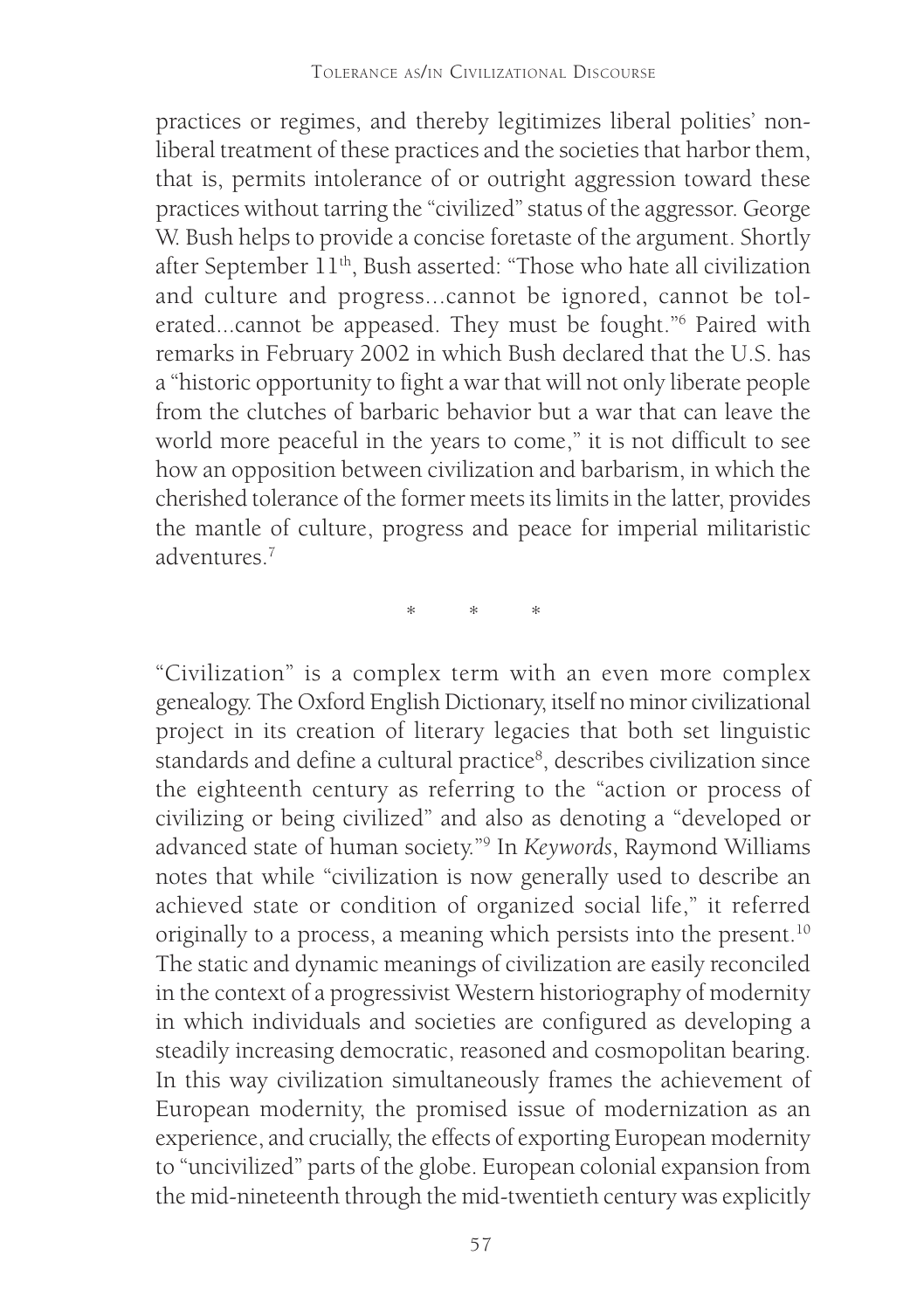practices or regimes, and thereby legitimizes liberal polities' nonliberal treatment of these practices and the societies that harbor them, that is, permits intolerance of or outright aggression toward these practices without tarring the "civilized" status of the aggressor. George W. Bush helps to provide a concise foretaste of the argument. Shortly after September 11th, Bush asserted: "Those who hate all civilization and culture and progress...cannot be ignored, cannot be tolerated...cannot be appeased. They must be fought."6 Paired with remarks in February 2002 in which Bush declared that the U.S. has a "historic opportunity to fight a war that will not only liberate people from the clutches of barbaric behavior but a war that can leave the world more peaceful in the years to come," it is not difficult to see how an opposition between civilization and barbarism, in which the cherished tolerance of the former meets its limits in the latter, provides the mantle of culture, progress and peace for imperial militaristic adventures.7

\*\*\*

"Civilization" is a complex term with an even more complex genealogy. The Oxford English Dictionary, itself no minor civilizational project in its creation of literary legacies that both set linguistic standards and define a cultural practice<sup>8</sup>, describes civilization since the eighteenth century as referring to the "action or process of civilizing or being civilized" and also as denoting a "developed or advanced state of human society."9 In *Keywords*, Raymond Williams notes that while "civilization is now generally used to describe an achieved state or condition of organized social life," it referred originally to a process, a meaning which persists into the present.<sup>10</sup> The static and dynamic meanings of civilization are easily reconciled in the context of a progressivist Western historiography of modernity in which individuals and societies are configured as developing a steadily increasing democratic, reasoned and cosmopolitan bearing. In this way civilization simultaneously frames the achievement of European modernity, the promised issue of modernization as an experience, and crucially, the effects of exporting European modernity to "uncivilized" parts of the globe. European colonial expansion from the mid-nineteenth through the mid-twentieth century was explicitly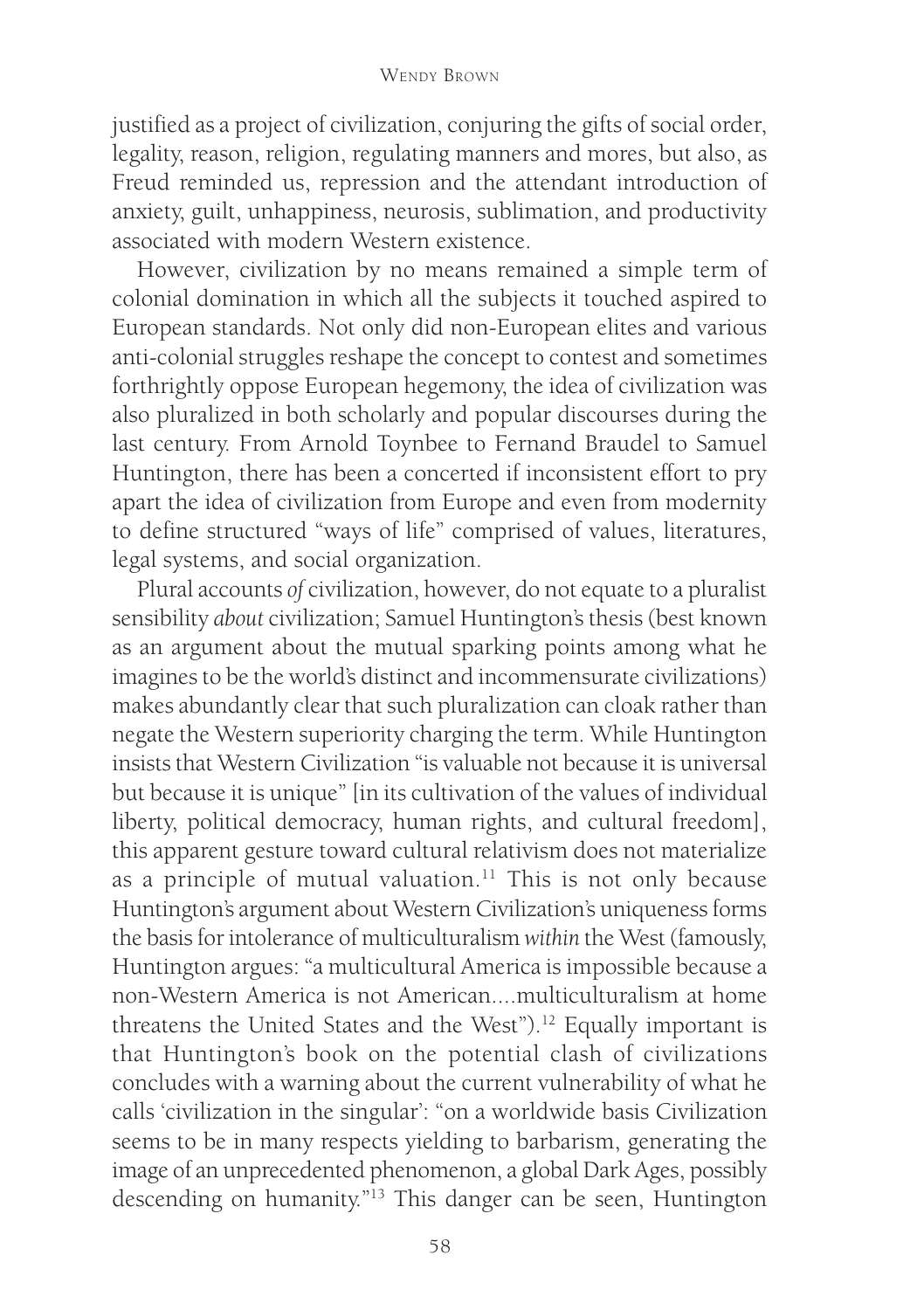justified as a project of civilization, conjuring the gifts of social order, legality, reason, religion, regulating manners and mores, but also, as Freud reminded us, repression and the attendant introduction of anxiety, guilt, unhappiness, neurosis, sublimation, and productivity associated with modern Western existence.

However, civilization by no means remained a simple term of colonial domination in which all the subjects it touched aspired to European standards. Not only did non-European elites and various anti-colonial struggles reshape the concept to contest and sometimes forthrightly oppose European hegemony, the idea of civilization was also pluralized in both scholarly and popular discourses during the last century. From Arnold Toynbee to Fernand Braudel to Samuel Huntington, there has been a concerted if inconsistent effort to pry apart the idea of civilization from Europe and even from modernity to define structured "ways of life" comprised of values, literatures, legal systems, and social organization.

Plural accounts *of* civilization, however, do not equate to a pluralist sensibility *about* civilization; Samuel Huntington's thesis (best known as an argument about the mutual sparking points among what he imagines to be the world's distinct and incommensurate civilizations) makes abundantly clear that such pluralization can cloak rather than negate the Western superiority charging the term. While Huntington insists that Western Civilization "is valuable not because it is universal but because it is unique" [in its cultivation of the values of individual liberty, political democracy, human rights, and cultural freedom], this apparent gesture toward cultural relativism does not materialize as a principle of mutual valuation.<sup>11</sup> This is not only because Huntington's argument about Western Civilization's uniqueness forms the basis for intolerance of multiculturalism *within* the West (famously, Huntington argues: "a multicultural America is impossible because a non-Western America is not American....multiculturalism at home threatens the United States and the West").<sup>12</sup> Equally important is that Huntington's book on the potential clash of civilizations concludes with a warning about the current vulnerability of what he calls 'civilization in the singular': "on a worldwide basis Civilization seems to be in many respects yielding to barbarism, generating the image of an unprecedented phenomenon, a global Dark Ages, possibly descending on humanity."13 This danger can be seen, Huntington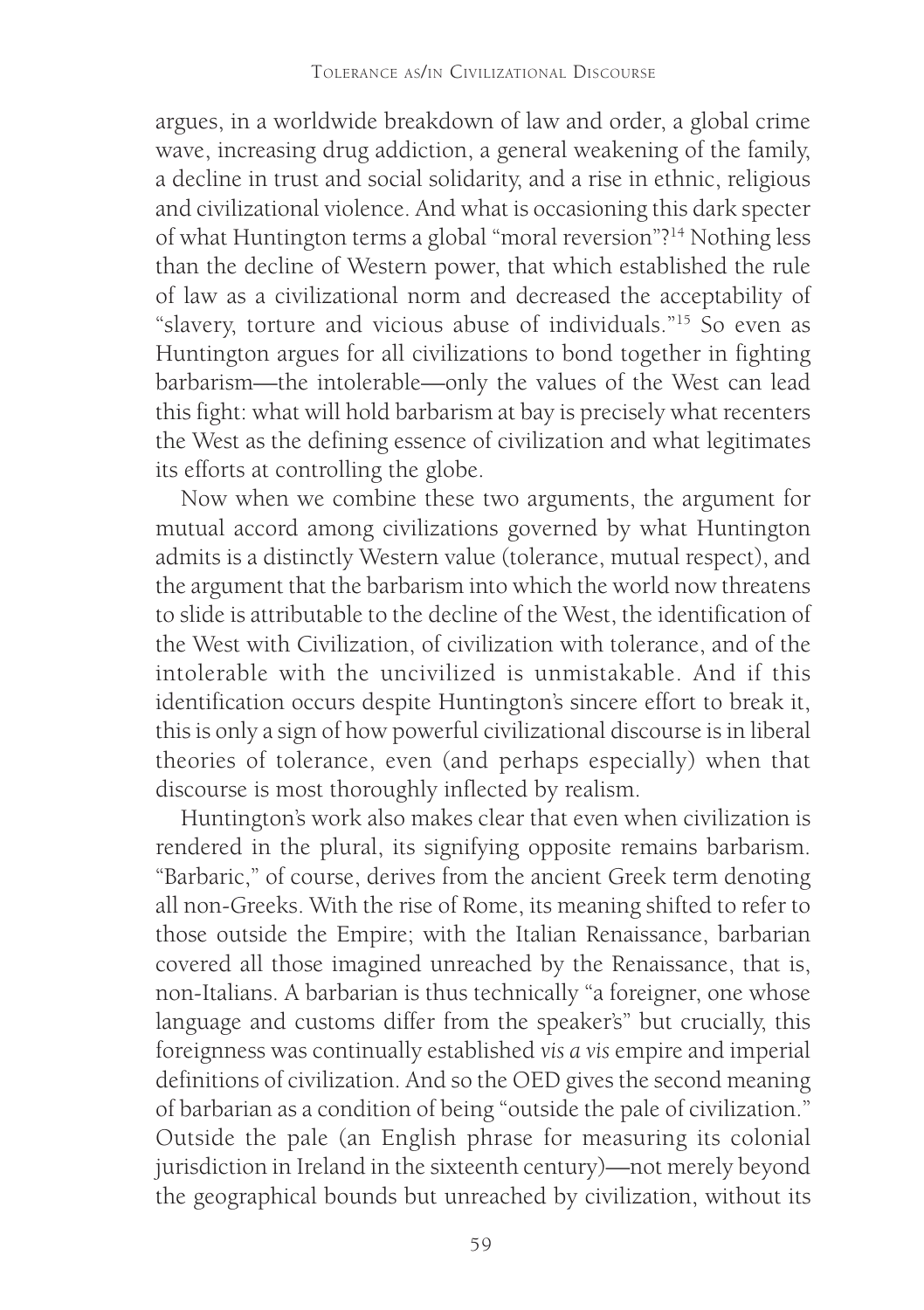argues, in a worldwide breakdown of law and order, a global crime wave, increasing drug addiction, a general weakening of the family, a decline in trust and social solidarity, and a rise in ethnic, religious and civilizational violence. And what is occasioning this dark specter of what Huntington terms a global "moral reversion"?14 Nothing less than the decline of Western power, that which established the rule of law as a civilizational norm and decreased the acceptability of "slavery, torture and vicious abuse of individuals."15 So even as Huntington argues for all civilizations to bond together in fighting barbarism—the intolerable—only the values of the West can lead this fight: what will hold barbarism at bay is precisely what recenters the West as the defining essence of civilization and what legitimates its efforts at controlling the globe.

Now when we combine these two arguments, the argument for mutual accord among civilizations governed by what Huntington admits is a distinctly Western value (tolerance, mutual respect), and the argument that the barbarism into which the world now threatens to slide is attributable to the decline of the West, the identification of the West with Civilization, of civilization with tolerance, and of the intolerable with the uncivilized is unmistakable. And if this identification occurs despite Huntington's sincere effort to break it, this is only a sign of how powerful civilizational discourse is in liberal theories of tolerance, even (and perhaps especially) when that discourse is most thoroughly inflected by realism.

Huntington's work also makes clear that even when civilization is rendered in the plural, its signifying opposite remains barbarism. "Barbaric," of course, derives from the ancient Greek term denoting all non-Greeks. With the rise of Rome, its meaning shifted to refer to those outside the Empire; with the Italian Renaissance, barbarian covered all those imagined unreached by the Renaissance, that is, non-Italians. A barbarian is thus technically "a foreigner, one whose language and customs differ from the speaker's" but crucially, this foreignness was continually established *vis a vis* empire and imperial definitions of civilization. And so the OED gives the second meaning of barbarian as a condition of being "outside the pale of civilization." Outside the pale (an English phrase for measuring its colonial jurisdiction in Ireland in the sixteenth century)—not merely beyond the geographical bounds but unreached by civilization, without its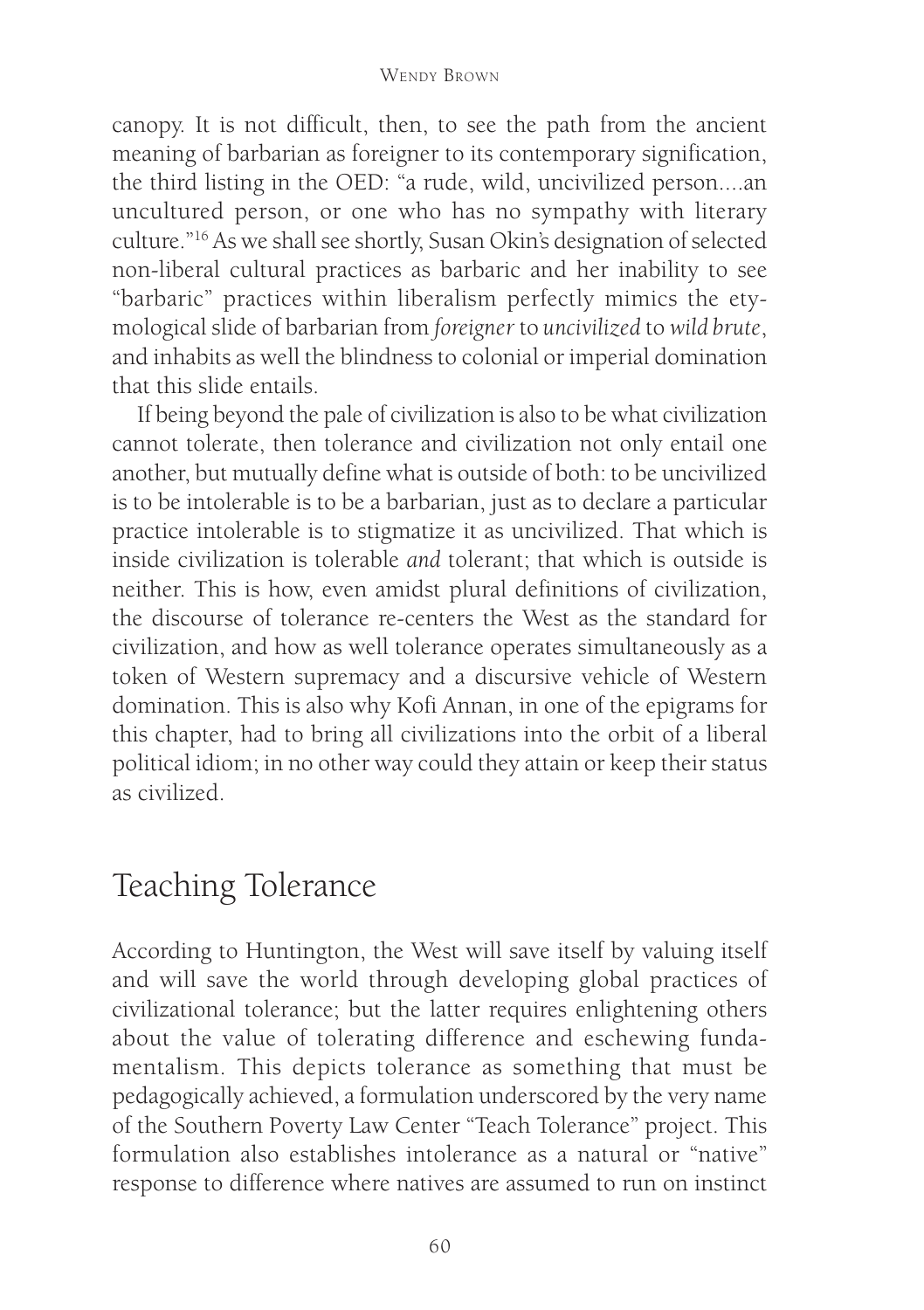#### WENDY BROWN

canopy. It is not difficult, then, to see the path from the ancient meaning of barbarian as foreigner to its contemporary signification, the third listing in the OED: "a rude, wild, uncivilized person....an uncultured person, or one who has no sympathy with literary culture."16 As we shall see shortly, Susan Okin's designation of selected non-liberal cultural practices as barbaric and her inability to see "barbaric" practices within liberalism perfectly mimics the etymological slide of barbarian from *foreigner* to *uncivilized* to *wild brute*, and inhabits as well the blindness to colonial or imperial domination that this slide entails.

If being beyond the pale of civilization is also to be what civilization cannot tolerate, then tolerance and civilization not only entail one another, but mutually define what is outside of both: to be uncivilized is to be intolerable is to be a barbarian, just as to declare a particular practice intolerable is to stigmatize it as uncivilized. That which is inside civilization is tolerable *and* tolerant; that which is outside is neither. This is how, even amidst plural definitions of civilization, the discourse of tolerance re-centers the West as the standard for civilization, and how as well tolerance operates simultaneously as a token of Western supremacy and a discursive vehicle of Western domination. This is also why Kofi Annan, in one of the epigrams for this chapter, had to bring all civilizations into the orbit of a liberal political idiom; in no other way could they attain or keep their status as civilized.

# Teaching Tolerance

According to Huntington, the West will save itself by valuing itself and will save the world through developing global practices of civilizational tolerance; but the latter requires enlightening others about the value of tolerating difference and eschewing fundamentalism. This depicts tolerance as something that must be pedagogically achieved, a formulation underscored by the very name of the Southern Poverty Law Center "Teach Tolerance" project. This formulation also establishes intolerance as a natural or "native" response to difference where natives are assumed to run on instinct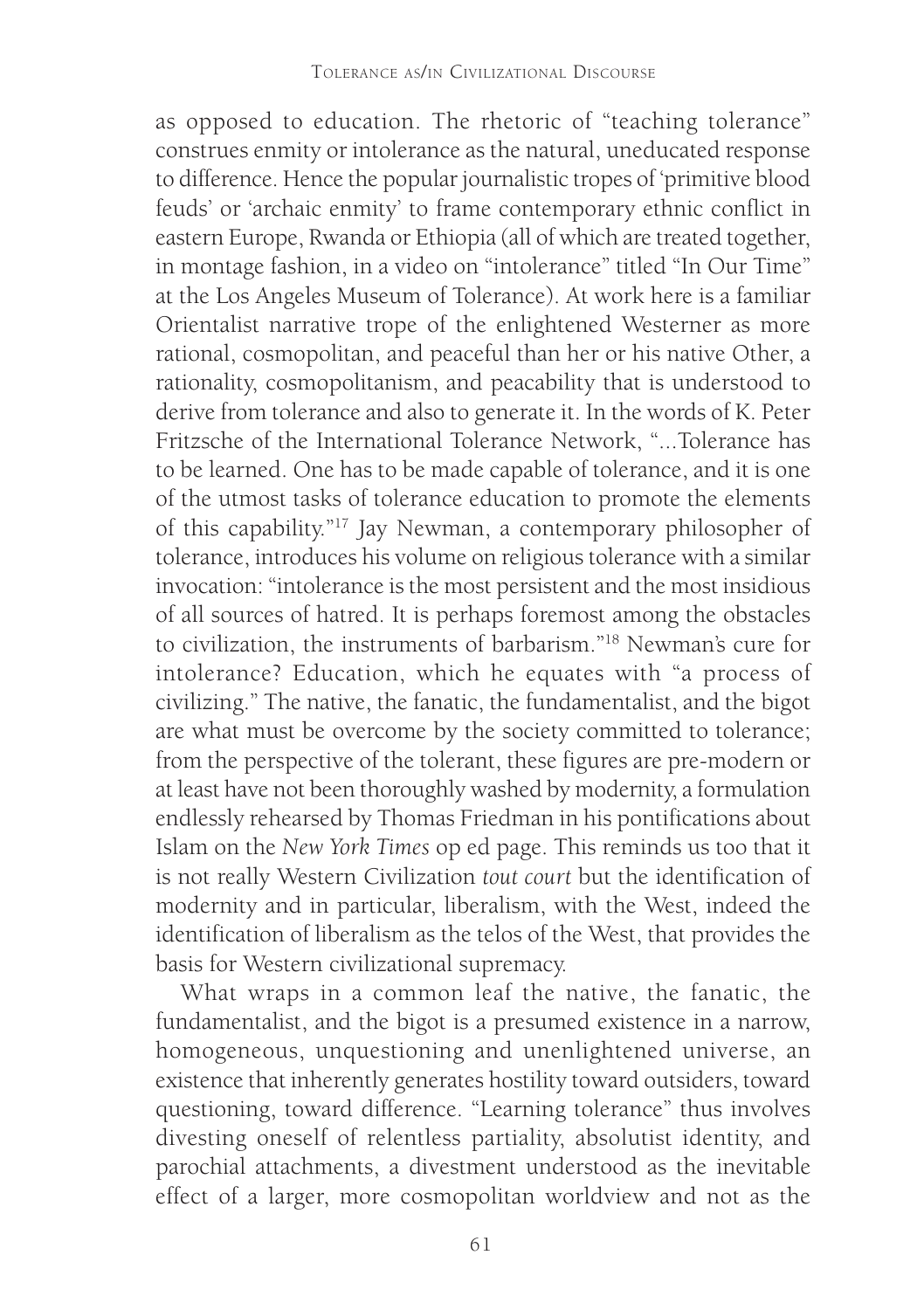as opposed to education. The rhetoric of "teaching tolerance" construes enmity or intolerance as the natural, uneducated response to difference. Hence the popular journalistic tropes of 'primitive blood feuds' or 'archaic enmity' to frame contemporary ethnic conflict in eastern Europe, Rwanda or Ethiopia (all of which are treated together, in montage fashion, in a video on "intolerance" titled "In Our Time" at the Los Angeles Museum of Tolerance). At work here is a familiar Orientalist narrative trope of the enlightened Westerner as more rational, cosmopolitan, and peaceful than her or his native Other, a rationality, cosmopolitanism, and peacability that is understood to derive from tolerance and also to generate it. In the words of K. Peter Fritzsche of the International Tolerance Network, "...Tolerance has to be learned. One has to be made capable of tolerance, and it is one of the utmost tasks of tolerance education to promote the elements of this capability."17 Jay Newman, a contemporary philosopher of tolerance, introduces his volume on religious tolerance with a similar invocation: "intolerance is the most persistent and the most insidious of all sources of hatred. It is perhaps foremost among the obstacles to civilization, the instruments of barbarism."18 Newman's cure for intolerance? Education, which he equates with "a process of civilizing." The native, the fanatic, the fundamentalist, and the bigot are what must be overcome by the society committed to tolerance; from the perspective of the tolerant, these figures are pre-modern or at least have not been thoroughly washed by modernity, a formulation endlessly rehearsed by Thomas Friedman in his pontifications about Islam on the *New York Times* op ed page. This reminds us too that it is not really Western Civilization *tout court* but the identification of modernity and in particular, liberalism, with the West, indeed the identification of liberalism as the telos of the West, that provides the basis for Western civilizational supremacy.

What wraps in a common leaf the native, the fanatic, the fundamentalist, and the bigot is a presumed existence in a narrow, homogeneous, unquestioning and unenlightened universe, an existence that inherently generates hostility toward outsiders, toward questioning, toward difference. "Learning tolerance" thus involves divesting oneself of relentless partiality, absolutist identity, and parochial attachments, a divestment understood as the inevitable effect of a larger, more cosmopolitan worldview and not as the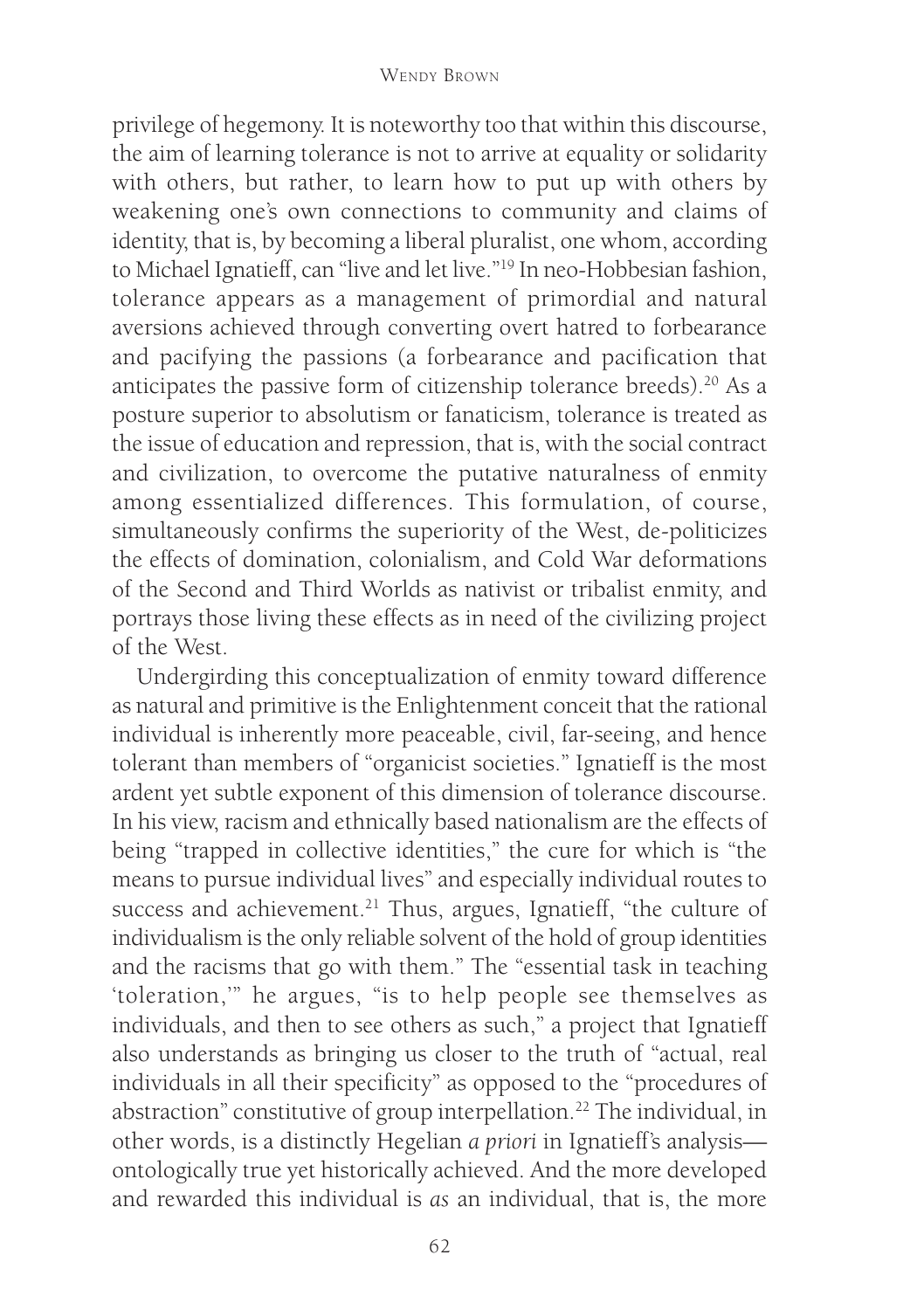privilege of hegemony. It is noteworthy too that within this discourse, the aim of learning tolerance is not to arrive at equality or solidarity with others, but rather, to learn how to put up with others by weakening one's own connections to community and claims of identity, that is, by becoming a liberal pluralist, one whom, according to Michael Ignatieff, can "live and let live."19 In neo-Hobbesian fashion, tolerance appears as a management of primordial and natural aversions achieved through converting overt hatred to forbearance and pacifying the passions (a forbearance and pacification that anticipates the passive form of citizenship tolerance breeds).<sup>20</sup> As a posture superior to absolutism or fanaticism, tolerance is treated as the issue of education and repression, that is, with the social contract and civilization, to overcome the putative naturalness of enmity among essentialized differences. This formulation, of course, simultaneously confirms the superiority of the West, de-politicizes the effects of domination, colonialism, and Cold War deformations of the Second and Third Worlds as nativist or tribalist enmity, and portrays those living these effects as in need of the civilizing project of the West.

Undergirding this conceptualization of enmity toward difference as natural and primitive is the Enlightenment conceit that the rational individual is inherently more peaceable, civil, far-seeing, and hence tolerant than members of "organicist societies." Ignatieff is the most ardent yet subtle exponent of this dimension of tolerance discourse. In his view, racism and ethnically based nationalism are the effects of being "trapped in collective identities," the cure for which is "the means to pursue individual lives" and especially individual routes to success and achievement.<sup>21</sup> Thus, argues, Ignatieff, "the culture of individualism is the only reliable solvent of the hold of group identities and the racisms that go with them." The "essential task in teaching 'toleration,'" he argues, "is to help people see themselves as individuals, and then to see others as such," a project that Ignatieff also understands as bringing us closer to the truth of "actual, real individuals in all their specificity" as opposed to the "procedures of abstraction" constitutive of group interpellation.22 The individual, in other words, is a distinctly Hegelian *a priori* in Ignatieff's analysis ontologically true yet historically achieved. And the more developed and rewarded this individual is *as* an individual, that is, the more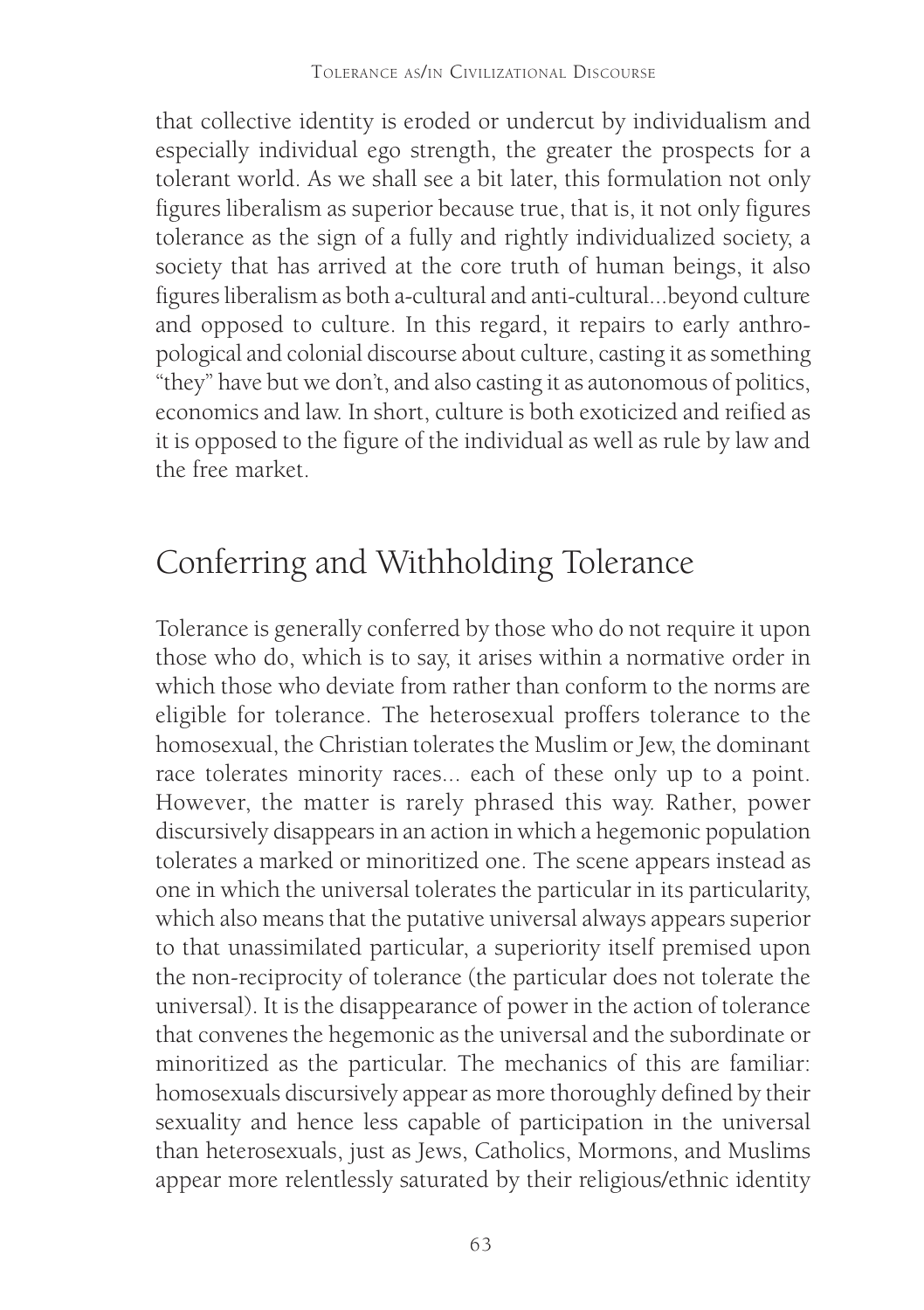that collective identity is eroded or undercut by individualism and especially individual ego strength, the greater the prospects for a tolerant world. As we shall see a bit later, this formulation not only figures liberalism as superior because true, that is, it not only figures tolerance as the sign of a fully and rightly individualized society, a society that has arrived at the core truth of human beings, it also figures liberalism as both a-cultural and anti-cultural...beyond culture and opposed to culture. In this regard, it repairs to early anthropological and colonial discourse about culture, casting it as something "they" have but we don't, and also casting it as autonomous of politics, economics and law. In short, culture is both exoticized and reified as it is opposed to the figure of the individual as well as rule by law and the free market.

# Conferring and Withholding Tolerance

Tolerance is generally conferred by those who do not require it upon those who do, which is to say, it arises within a normative order in which those who deviate from rather than conform to the norms are eligible for tolerance. The heterosexual proffers tolerance to the homosexual, the Christian tolerates the Muslim or Jew, the dominant race tolerates minority races... each of these only up to a point. However, the matter is rarely phrased this way. Rather, power discursively disappears in an action in which a hegemonic population tolerates a marked or minoritized one. The scene appears instead as one in which the universal tolerates the particular in its particularity, which also means that the putative universal always appears superior to that unassimilated particular, a superiority itself premised upon the non-reciprocity of tolerance (the particular does not tolerate the universal). It is the disappearance of power in the action of tolerance that convenes the hegemonic as the universal and the subordinate or minoritized as the particular. The mechanics of this are familiar: homosexuals discursively appear as more thoroughly defined by their sexuality and hence less capable of participation in the universal than heterosexuals, just as Jews, Catholics, Mormons, and Muslims appear more relentlessly saturated by their religious/ethnic identity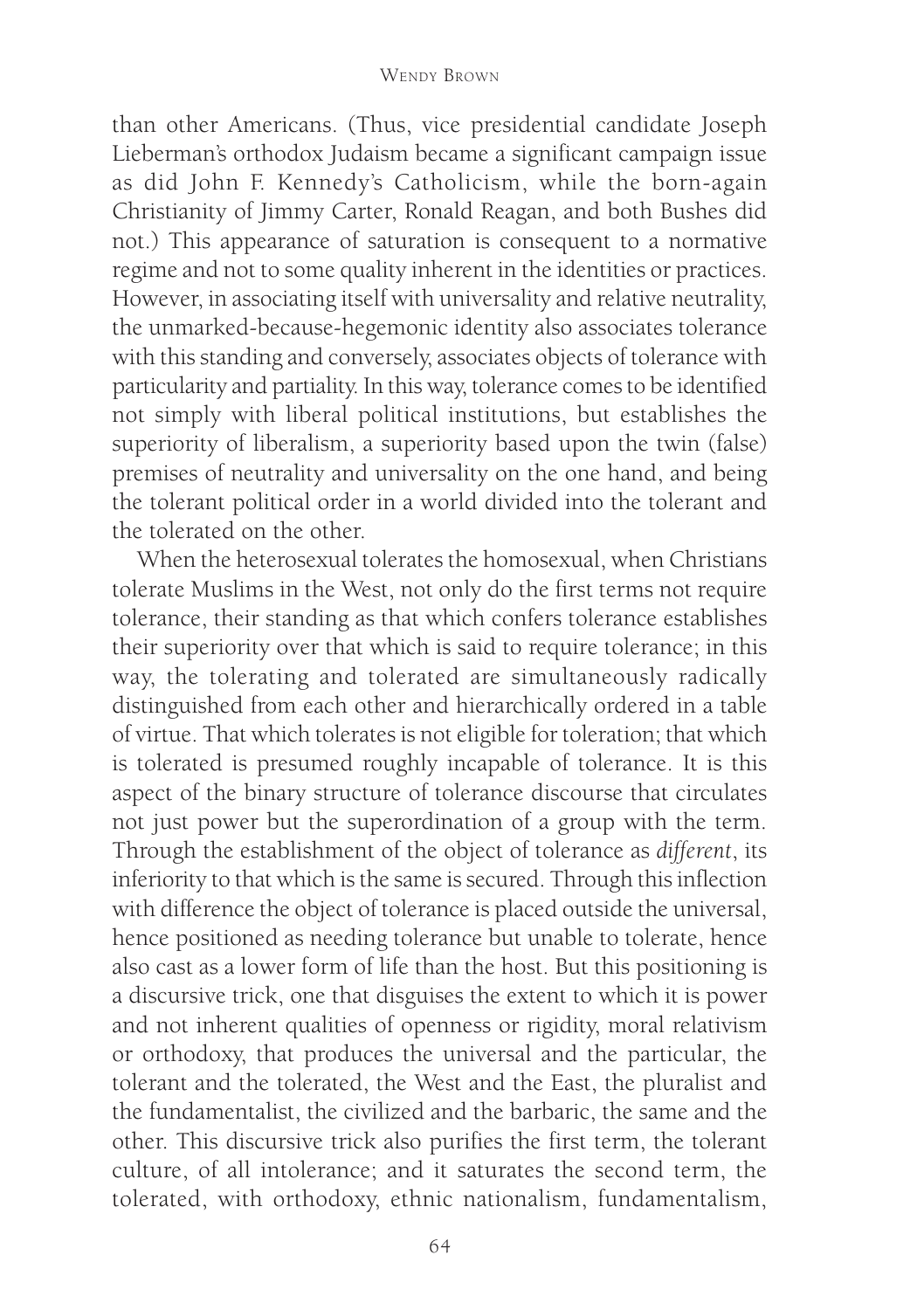than other Americans. (Thus, vice presidential candidate Joseph Lieberman's orthodox Judaism became a significant campaign issue as did John F. Kennedy's Catholicism, while the born-again Christianity of Jimmy Carter, Ronald Reagan, and both Bushes did not.) This appearance of saturation is consequent to a normative regime and not to some quality inherent in the identities or practices. However, in associating itself with universality and relative neutrality, the unmarked-because-hegemonic identity also associates tolerance with this standing and conversely, associates objects of tolerance with particularity and partiality. In this way, tolerance comes to be identified not simply with liberal political institutions, but establishes the superiority of liberalism, a superiority based upon the twin (false) premises of neutrality and universality on the one hand, and being the tolerant political order in a world divided into the tolerant and the tolerated on the other.

When the heterosexual tolerates the homosexual, when Christians tolerate Muslims in the West, not only do the first terms not require tolerance, their standing as that which confers tolerance establishes their superiority over that which is said to require tolerance; in this way, the tolerating and tolerated are simultaneously radically distinguished from each other and hierarchically ordered in a table of virtue. That which tolerates is not eligible for toleration; that which is tolerated is presumed roughly incapable of tolerance. It is this aspect of the binary structure of tolerance discourse that circulates not just power but the superordination of a group with the term. Through the establishment of the object of tolerance as *different*, its inferiority to that which is the same is secured. Through this inflection with difference the object of tolerance is placed outside the universal, hence positioned as needing tolerance but unable to tolerate, hence also cast as a lower form of life than the host. But this positioning is a discursive trick, one that disguises the extent to which it is power and not inherent qualities of openness or rigidity, moral relativism or orthodoxy, that produces the universal and the particular, the tolerant and the tolerated, the West and the East, the pluralist and the fundamentalist, the civilized and the barbaric, the same and the other. This discursive trick also purifies the first term, the tolerant culture, of all intolerance; and it saturates the second term, the tolerated, with orthodoxy, ethnic nationalism, fundamentalism,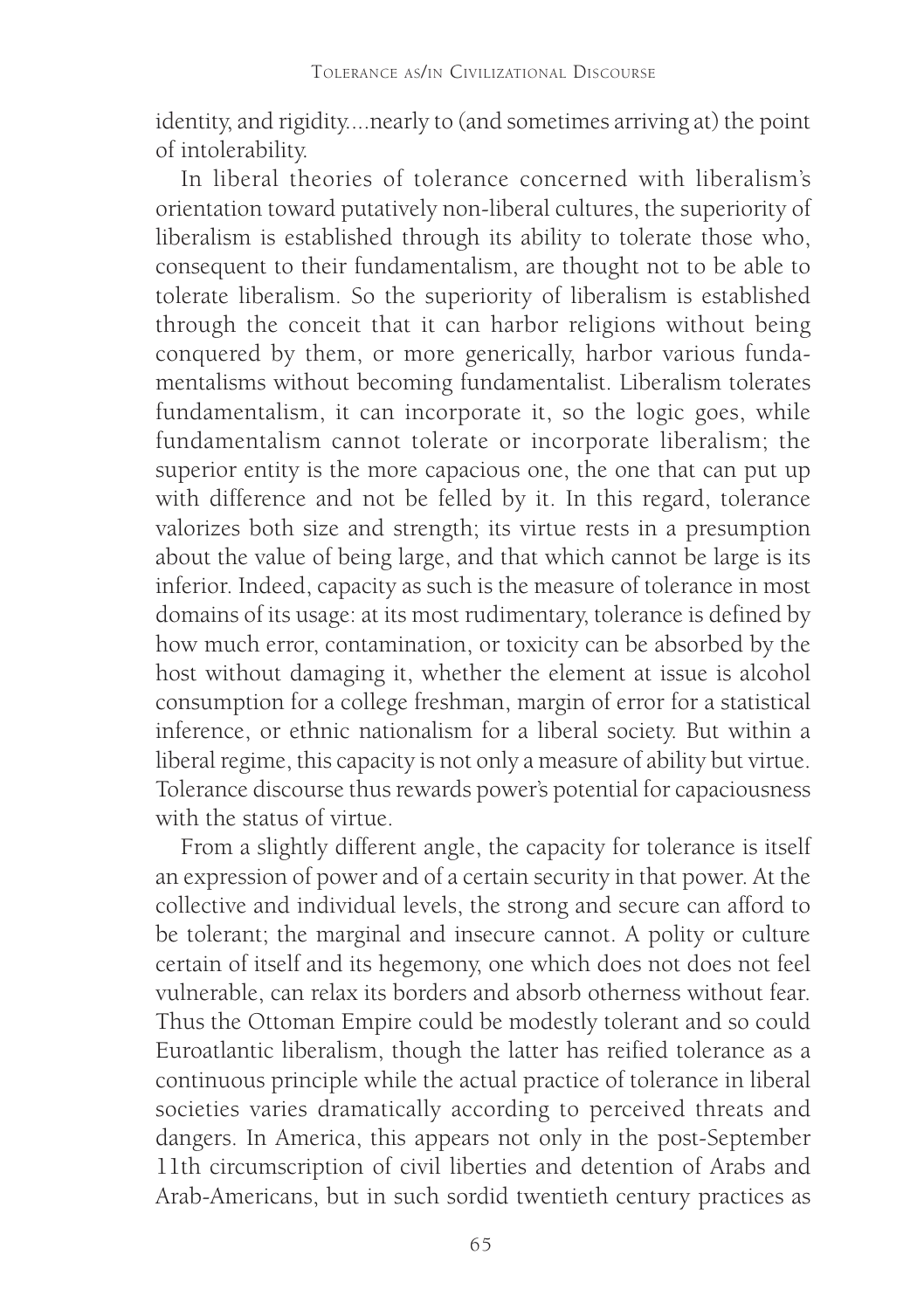identity, and rigidity....nearly to (and sometimes arriving at) the point of intolerability.

In liberal theories of tolerance concerned with liberalism's orientation toward putatively non-liberal cultures, the superiority of liberalism is established through its ability to tolerate those who, consequent to their fundamentalism, are thought not to be able to tolerate liberalism. So the superiority of liberalism is established through the conceit that it can harbor religions without being conquered by them, or more generically, harbor various fundamentalisms without becoming fundamentalist. Liberalism tolerates fundamentalism, it can incorporate it, so the logic goes, while fundamentalism cannot tolerate or incorporate liberalism; the superior entity is the more capacious one, the one that can put up with difference and not be felled by it. In this regard, tolerance valorizes both size and strength; its virtue rests in a presumption about the value of being large, and that which cannot be large is its inferior. Indeed, capacity as such is the measure of tolerance in most domains of its usage: at its most rudimentary, tolerance is defined by how much error, contamination, or toxicity can be absorbed by the host without damaging it, whether the element at issue is alcohol consumption for a college freshman, margin of error for a statistical inference, or ethnic nationalism for a liberal society. But within a liberal regime, this capacity is not only a measure of ability but virtue. Tolerance discourse thus rewards power's potential for capaciousness with the status of virtue.

From a slightly different angle, the capacity for tolerance is itself an expression of power and of a certain security in that power. At the collective and individual levels, the strong and secure can afford to be tolerant; the marginal and insecure cannot. A polity or culture certain of itself and its hegemony, one which does not does not feel vulnerable, can relax its borders and absorb otherness without fear. Thus the Ottoman Empire could be modestly tolerant and so could Euroatlantic liberalism, though the latter has reified tolerance as a continuous principle while the actual practice of tolerance in liberal societies varies dramatically according to perceived threats and dangers. In America, this appears not only in the post-September 11th circumscription of civil liberties and detention of Arabs and Arab-Americans, but in such sordid twentieth century practices as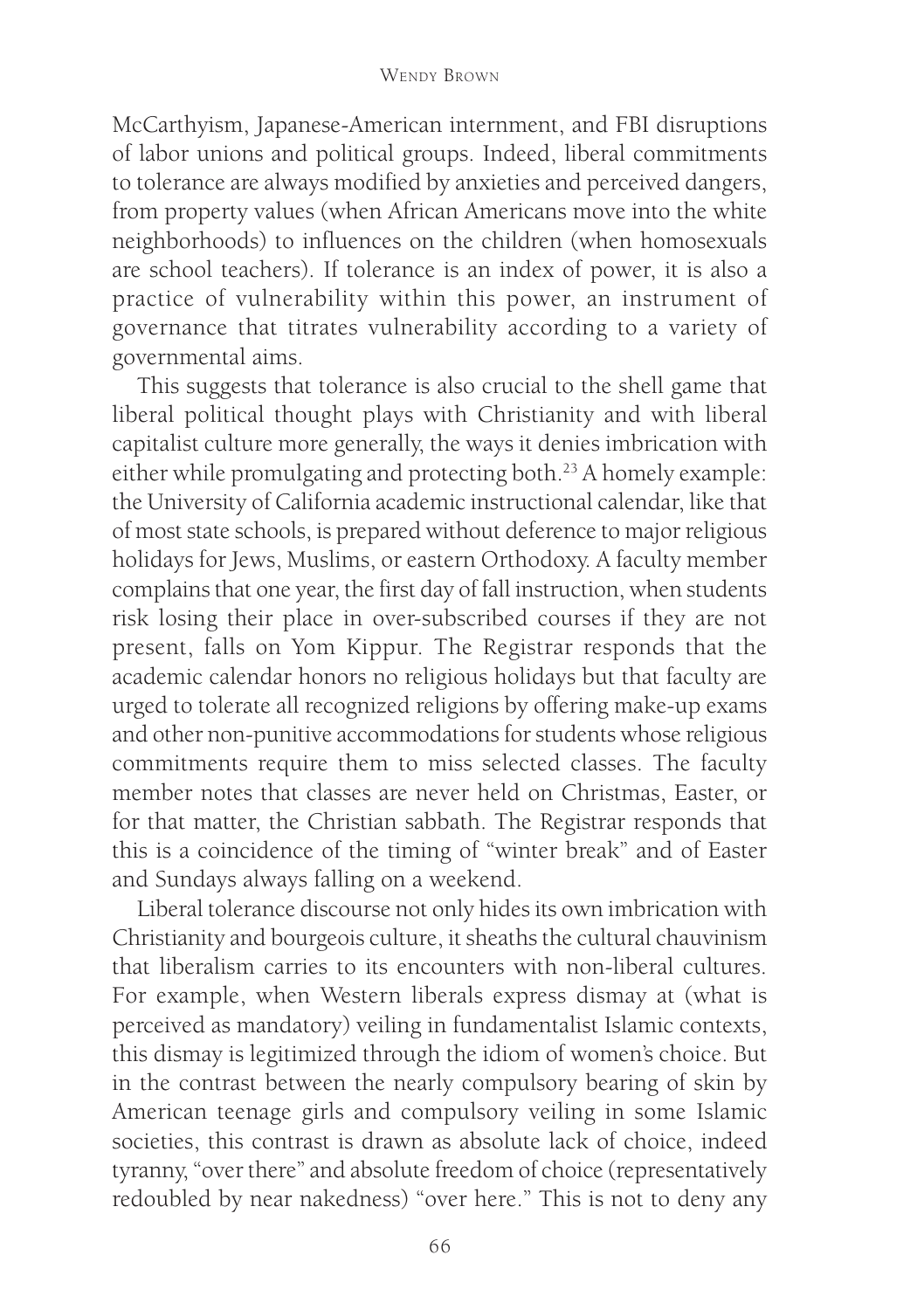McCarthyism, Japanese-American internment, and FBI disruptions of labor unions and political groups. Indeed, liberal commitments to tolerance are always modified by anxieties and perceived dangers, from property values (when African Americans move into the white neighborhoods) to influences on the children (when homosexuals are school teachers). If tolerance is an index of power, it is also a practice of vulnerability within this power, an instrument of governance that titrates vulnerability according to a variety of governmental aims.

This suggests that tolerance is also crucial to the shell game that liberal political thought plays with Christianity and with liberal capitalist culture more generally, the ways it denies imbrication with either while promulgating and protecting both.<sup>23</sup> A homely example: the University of California academic instructional calendar, like that of most state schools, is prepared without deference to major religious holidays for Jews, Muslims, or eastern Orthodoxy. A faculty member complains that one year, the first day of fall instruction, when students risk losing their place in over-subscribed courses if they are not present, falls on Yom Kippur. The Registrar responds that the academic calendar honors no religious holidays but that faculty are urged to tolerate all recognized religions by offering make-up exams and other non-punitive accommodations for students whose religious commitments require them to miss selected classes. The faculty member notes that classes are never held on Christmas, Easter, or for that matter, the Christian sabbath. The Registrar responds that this is a coincidence of the timing of "winter break" and of Easter and Sundays always falling on a weekend.

Liberal tolerance discourse not only hides its own imbrication with Christianity and bourgeois culture, it sheaths the cultural chauvinism that liberalism carries to its encounters with non-liberal cultures. For example, when Western liberals express dismay at (what is perceived as mandatory) veiling in fundamentalist Islamic contexts, this dismay is legitimized through the idiom of women's choice. But in the contrast between the nearly compulsory bearing of skin by American teenage girls and compulsory veiling in some Islamic societies, this contrast is drawn as absolute lack of choice, indeed tyranny, "over there" and absolute freedom of choice (representatively redoubled by near nakedness) "over here." This is not to deny any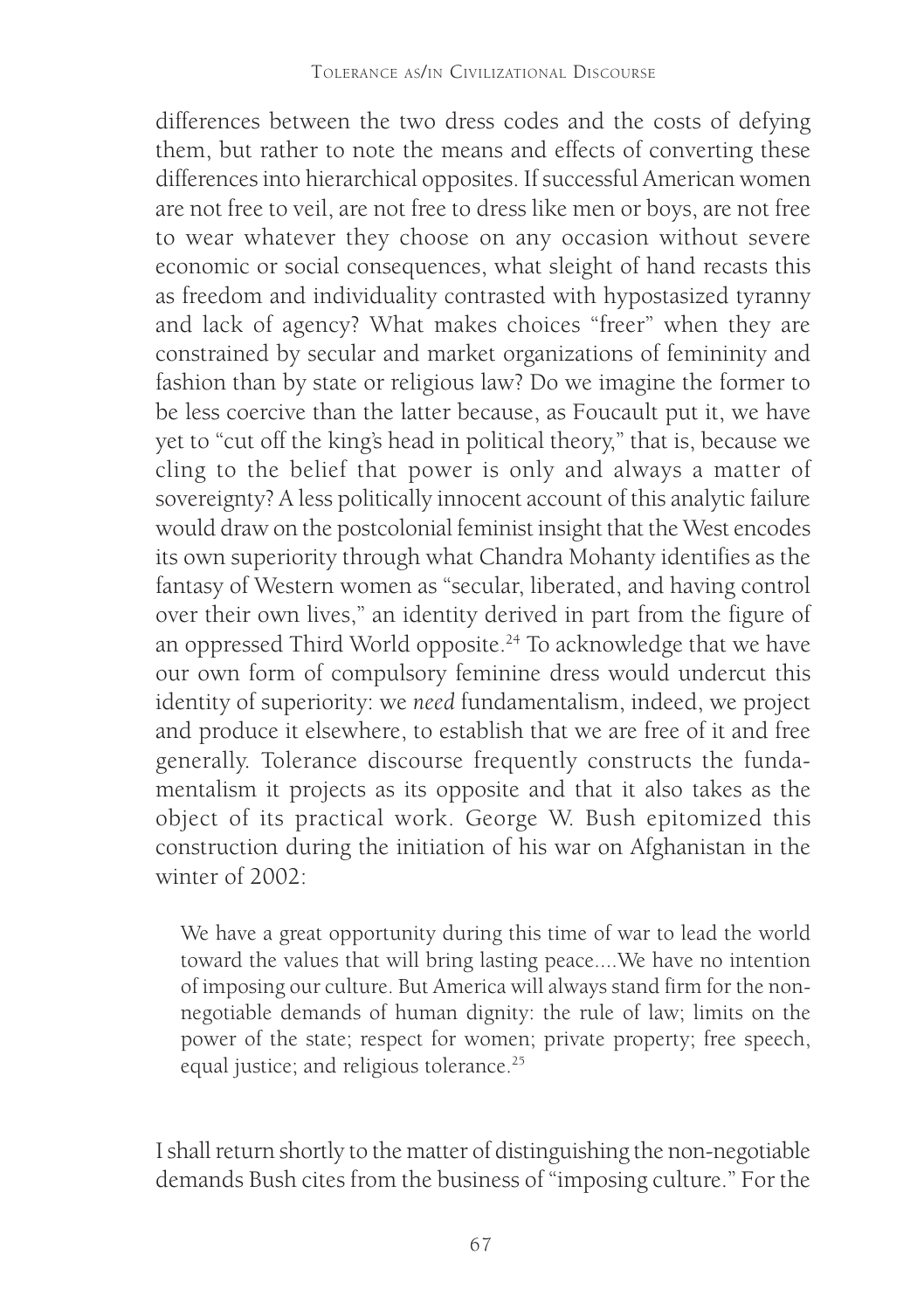differences between the two dress codes and the costs of defying them, but rather to note the means and effects of converting these differences into hierarchical opposites. If successful American women are not free to veil, are not free to dress like men or boys, are not free to wear whatever they choose on any occasion without severe economic or social consequences, what sleight of hand recasts this as freedom and individuality contrasted with hypostasized tyranny and lack of agency? What makes choices "freer" when they are constrained by secular and market organizations of femininity and fashion than by state or religious law? Do we imagine the former to be less coercive than the latter because, as Foucault put it, we have yet to "cut off the king's head in political theory," that is, because we cling to the belief that power is only and always a matter of sovereignty? A less politically innocent account of this analytic failure would draw on the postcolonial feminist insight that the West encodes its own superiority through what Chandra Mohanty identifies as the fantasy of Western women as "secular, liberated, and having control over their own lives," an identity derived in part from the figure of an oppressed Third World opposite.<sup>24</sup> To acknowledge that we have our own form of compulsory feminine dress would undercut this identity of superiority: we *need* fundamentalism, indeed, we project and produce it elsewhere, to establish that we are free of it and free generally. Tolerance discourse frequently constructs the fundamentalism it projects as its opposite and that it also takes as the object of its practical work. George W. Bush epitomized this construction during the initiation of his war on Afghanistan in the winter of 2002.

We have a great opportunity during this time of war to lead the world toward the values that will bring lasting peace....We have no intention of imposing our culture. But America will always stand firm for the nonnegotiable demands of human dignity: the rule of law; limits on the power of the state; respect for women; private property; free speech, equal justice; and religious tolerance.<sup>25</sup>

I shall return shortly to the matter of distinguishing the non-negotiable demands Bush cites from the business of "imposing culture." For the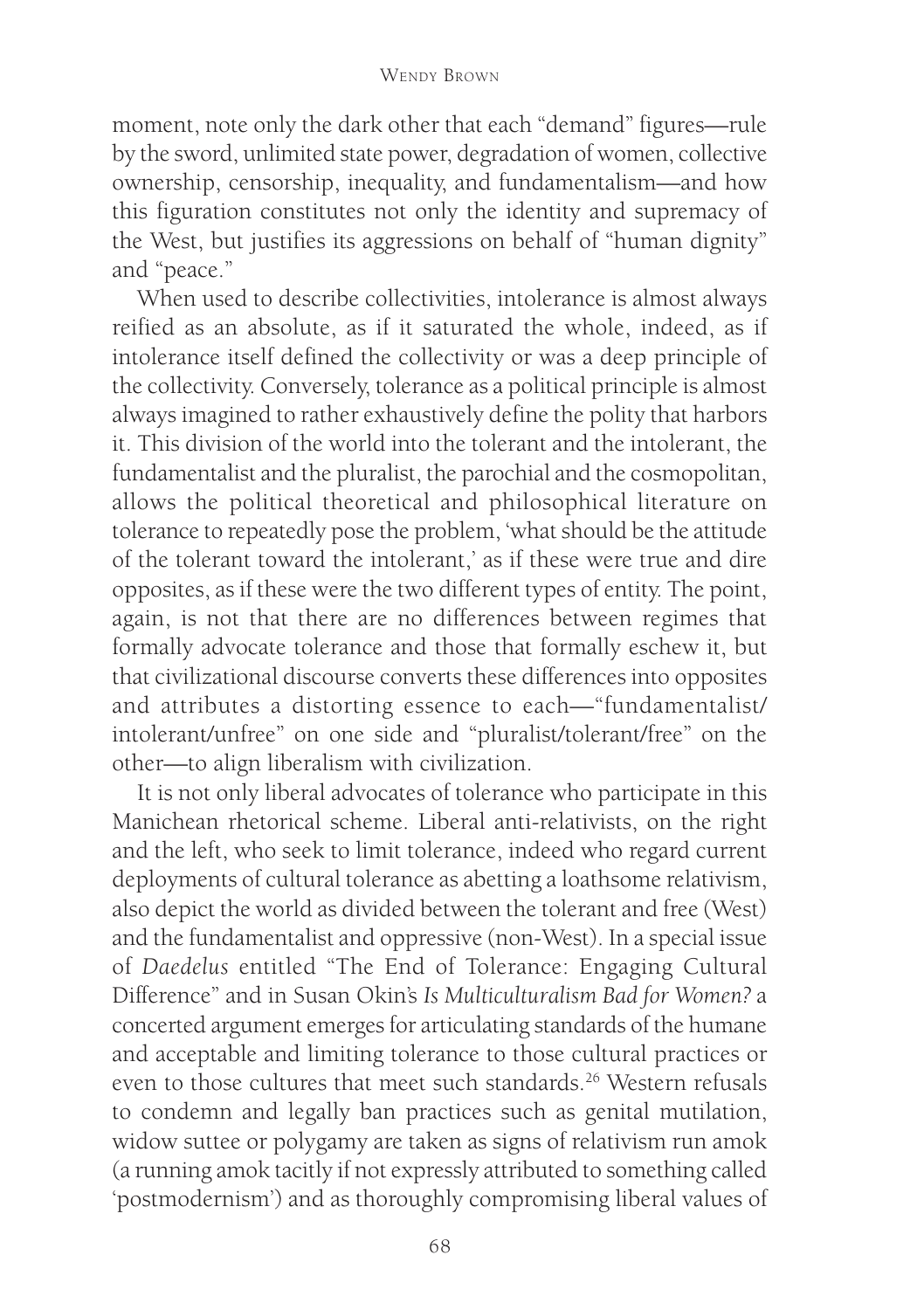#### WENDY BROWN

moment, note only the dark other that each "demand" figures—rule by the sword, unlimited state power, degradation of women, collective ownership, censorship, inequality, and fundamentalism—and how this figuration constitutes not only the identity and supremacy of the West, but justifies its aggressions on behalf of "human dignity" and "peace."

When used to describe collectivities, intolerance is almost always reified as an absolute, as if it saturated the whole, indeed, as if intolerance itself defined the collectivity or was a deep principle of the collectivity. Conversely, tolerance as a political principle is almost always imagined to rather exhaustively define the polity that harbors it. This division of the world into the tolerant and the intolerant, the fundamentalist and the pluralist, the parochial and the cosmopolitan, allows the political theoretical and philosophical literature on tolerance to repeatedly pose the problem, 'what should be the attitude of the tolerant toward the intolerant,' as if these were true and dire opposites, as if these were the two different types of entity. The point, again, is not that there are no differences between regimes that formally advocate tolerance and those that formally eschew it, but that civilizational discourse converts these differences into opposites and attributes a distorting essence to each—"fundamentalist/ intolerant/unfree" on one side and "pluralist/tolerant/free" on the other—to align liberalism with civilization.

It is not only liberal advocates of tolerance who participate in this Manichean rhetorical scheme. Liberal anti-relativists, on the right and the left, who seek to limit tolerance, indeed who regard current deployments of cultural tolerance as abetting a loathsome relativism, also depict the world as divided between the tolerant and free (West) and the fundamentalist and oppressive (non-West). In a special issue of *Daedelus* entitled "The End of Tolerance: Engaging Cultural Difference" and in Susan Okin's *Is Multiculturalism Bad for Women?* a concerted argument emerges for articulating standards of the humane and acceptable and limiting tolerance to those cultural practices or even to those cultures that meet such standards.<sup>26</sup> Western refusals to condemn and legally ban practices such as genital mutilation, widow suttee or polygamy are taken as signs of relativism run amok (a running amok tacitly if not expressly attributed to something called 'postmodernism') and as thoroughly compromising liberal values of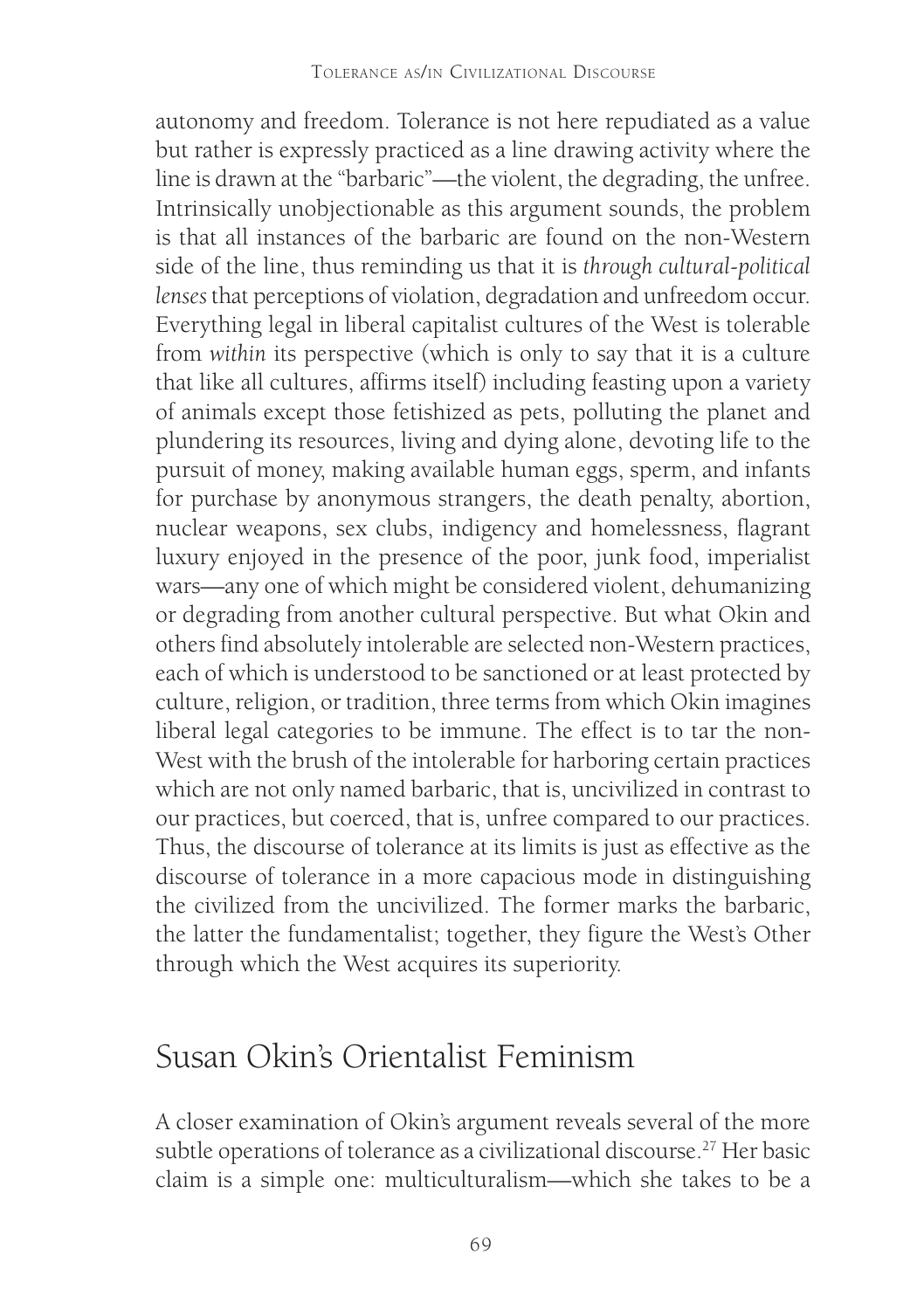autonomy and freedom. Tolerance is not here repudiated as a value but rather is expressly practiced as a line drawing activity where the line is drawn at the "barbaric"—the violent, the degrading, the unfree. Intrinsically unobjectionable as this argument sounds, the problem is that all instances of the barbaric are found on the non-Western side of the line, thus reminding us that it is *through cultural-political lenses* that perceptions of violation, degradation and unfreedom occur. Everything legal in liberal capitalist cultures of the West is tolerable from *within* its perspective (which is only to say that it is a culture that like all cultures, affirms itself) including feasting upon a variety of animals except those fetishized as pets, polluting the planet and plundering its resources, living and dying alone, devoting life to the pursuit of money, making available human eggs, sperm, and infants for purchase by anonymous strangers, the death penalty, abortion, nuclear weapons, sex clubs, indigency and homelessness, flagrant luxury enjoyed in the presence of the poor, junk food, imperialist wars—any one of which might be considered violent, dehumanizing or degrading from another cultural perspective. But what Okin and others find absolutely intolerable are selected non-Western practices, each of which is understood to be sanctioned or at least protected by culture, religion, or tradition, three terms from which Okin imagines liberal legal categories to be immune. The effect is to tar the non-West with the brush of the intolerable for harboring certain practices which are not only named barbaric, that is, uncivilized in contrast to our practices, but coerced, that is, unfree compared to our practices. Thus, the discourse of tolerance at its limits is just as effective as the discourse of tolerance in a more capacious mode in distinguishing the civilized from the uncivilized. The former marks the barbaric, the latter the fundamentalist; together, they figure the West's Other through which the West acquires its superiority.

# Susan Okin's Orientalist Feminism

A closer examination of Okin's argument reveals several of the more subtle operations of tolerance as a civilizational discourse.<sup>27</sup> Her basic claim is a simple one: multiculturalism—which she takes to be a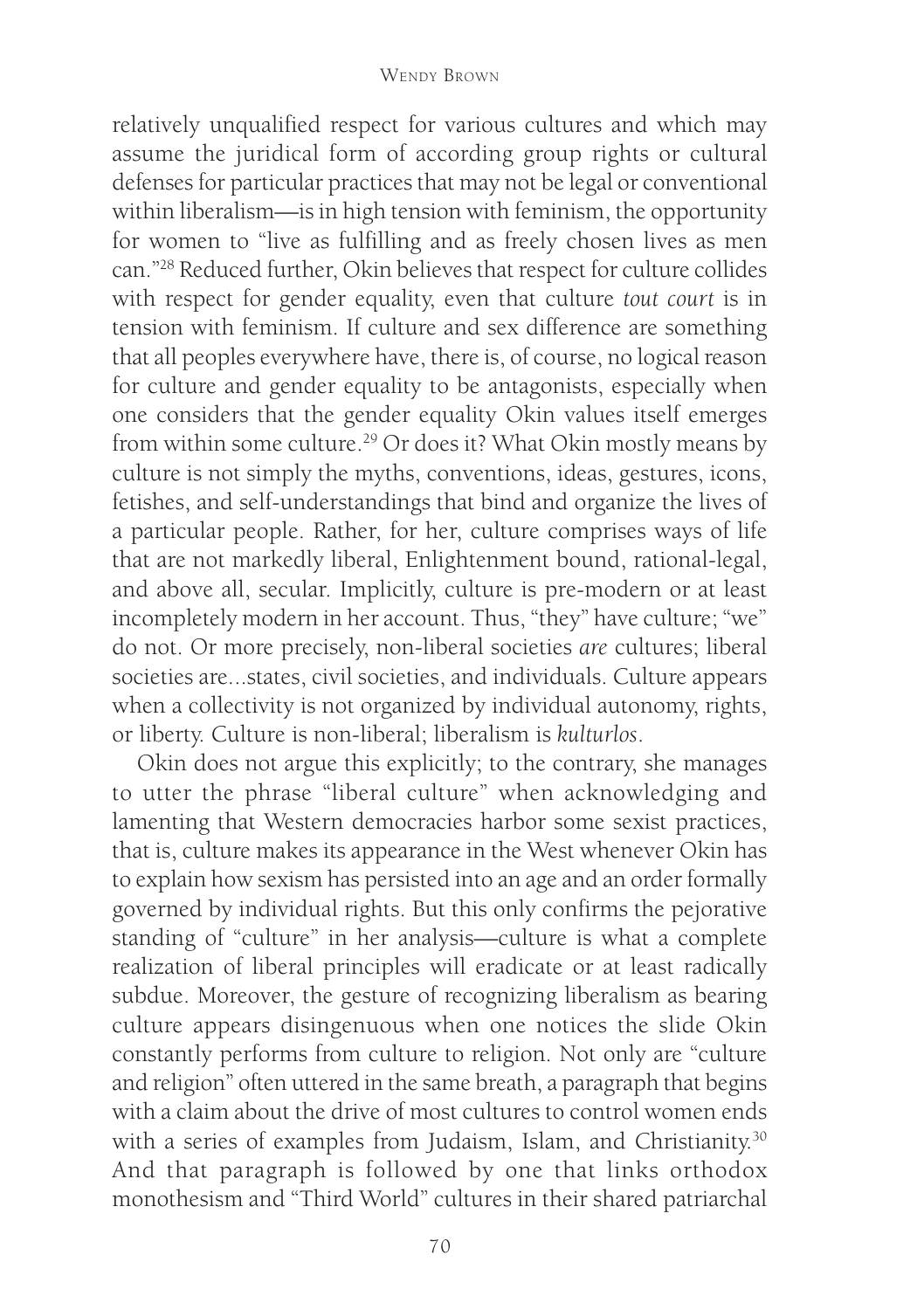relatively unqualified respect for various cultures and which may assume the juridical form of according group rights or cultural defenses for particular practices that may not be legal or conventional within liberalism—is in high tension with feminism, the opportunity for women to "live as fulfilling and as freely chosen lives as men can."28 Reduced further, Okin believes that respect for culture collides with respect for gender equality, even that culture *tout court* is in tension with feminism. If culture and sex difference are something that all peoples everywhere have, there is, of course, no logical reason for culture and gender equality to be antagonists, especially when one considers that the gender equality Okin values itself emerges from within some culture.29 Or does it? What Okin mostly means by culture is not simply the myths, conventions, ideas, gestures, icons, fetishes, and self-understandings that bind and organize the lives of a particular people. Rather, for her, culture comprises ways of life that are not markedly liberal, Enlightenment bound, rational-legal, and above all, secular. Implicitly, culture is pre-modern or at least incompletely modern in her account. Thus, "they" have culture; "we" do not. Or more precisely, non-liberal societies *are* cultures; liberal societies are...states, civil societies, and individuals. Culture appears when a collectivity is not organized by individual autonomy, rights, or liberty. Culture is non-liberal; liberalism is *kulturlos*.

Okin does not argue this explicitly; to the contrary, she manages to utter the phrase "liberal culture" when acknowledging and lamenting that Western democracies harbor some sexist practices, that is, culture makes its appearance in the West whenever Okin has to explain how sexism has persisted into an age and an order formally governed by individual rights. But this only confirms the pejorative standing of "culture" in her analysis—culture is what a complete realization of liberal principles will eradicate or at least radically subdue. Moreover, the gesture of recognizing liberalism as bearing culture appears disingenuous when one notices the slide Okin constantly performs from culture to religion. Not only are "culture and religion" often uttered in the same breath, a paragraph that begins with a claim about the drive of most cultures to control women ends with a series of examples from Judaism, Islam, and Christianity.<sup>30</sup> And that paragraph is followed by one that links orthodox monothesism and "Third World" cultures in their shared patriarchal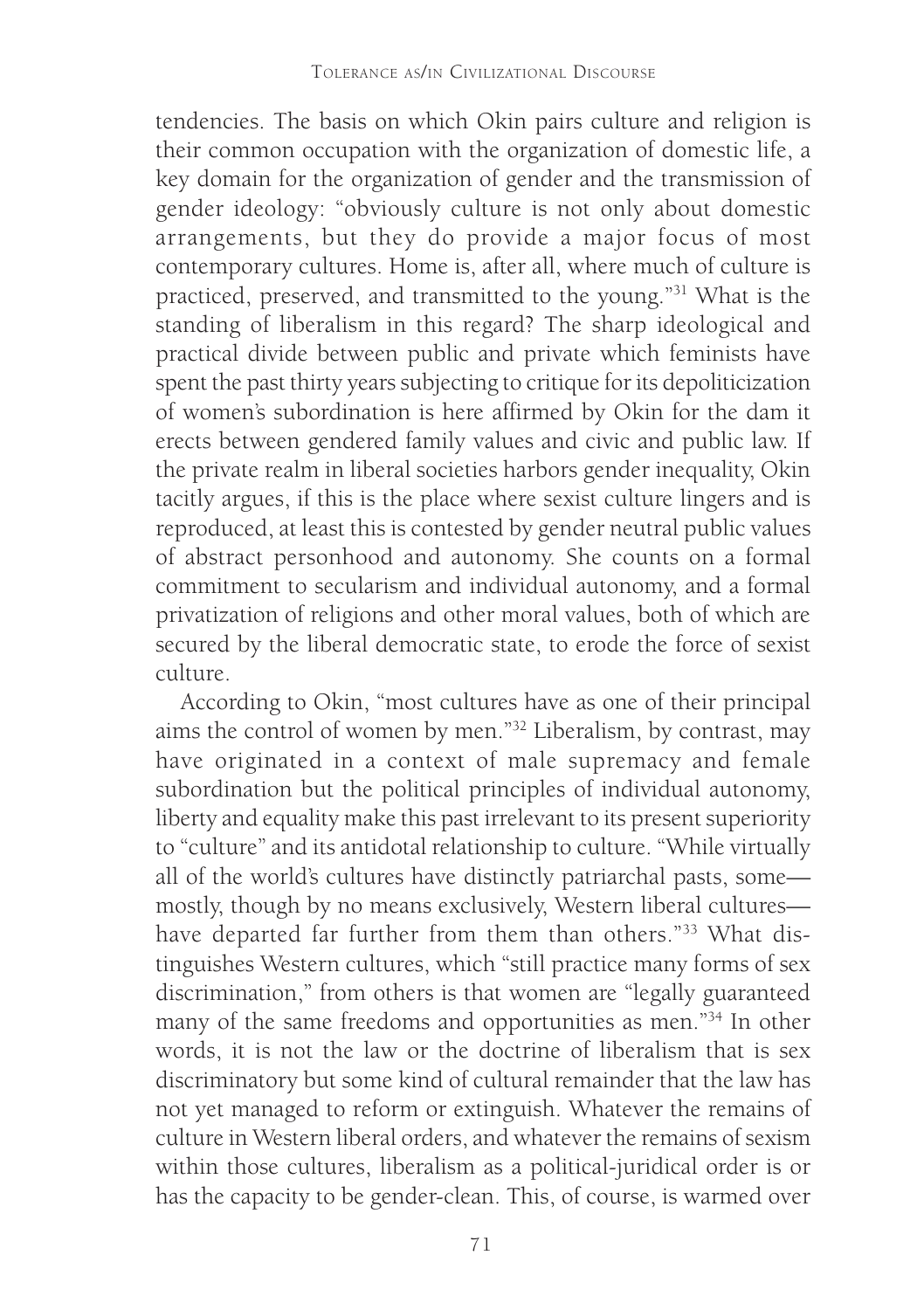tendencies. The basis on which Okin pairs culture and religion is their common occupation with the organization of domestic life, a key domain for the organization of gender and the transmission of gender ideology: "obviously culture is not only about domestic arrangements, but they do provide a major focus of most contemporary cultures. Home is, after all, where much of culture is practiced, preserved, and transmitted to the young."31 What is the standing of liberalism in this regard? The sharp ideological and practical divide between public and private which feminists have spent the past thirty years subjecting to critique for its depoliticization of women's subordination is here affirmed by Okin for the dam it erects between gendered family values and civic and public law. If the private realm in liberal societies harbors gender inequality, Okin tacitly argues, if this is the place where sexist culture lingers and is reproduced, at least this is contested by gender neutral public values of abstract personhood and autonomy. She counts on a formal commitment to secularism and individual autonomy, and a formal privatization of religions and other moral values, both of which are secured by the liberal democratic state, to erode the force of sexist culture.

According to Okin, "most cultures have as one of their principal aims the control of women by men."32 Liberalism, by contrast, may have originated in a context of male supremacy and female subordination but the political principles of individual autonomy, liberty and equality make this past irrelevant to its present superiority to "culture" and its antidotal relationship to culture. "While virtually all of the world's cultures have distinctly patriarchal pasts, some mostly, though by no means exclusively, Western liberal cultures have departed far further from them than others."33 What distinguishes Western cultures, which "still practice many forms of sex discrimination," from others is that women are "legally guaranteed many of the same freedoms and opportunities as men."34 In other words, it is not the law or the doctrine of liberalism that is sex discriminatory but some kind of cultural remainder that the law has not yet managed to reform or extinguish. Whatever the remains of culture in Western liberal orders, and whatever the remains of sexism within those cultures, liberalism as a political-juridical order is or has the capacity to be gender-clean. This, of course, is warmed over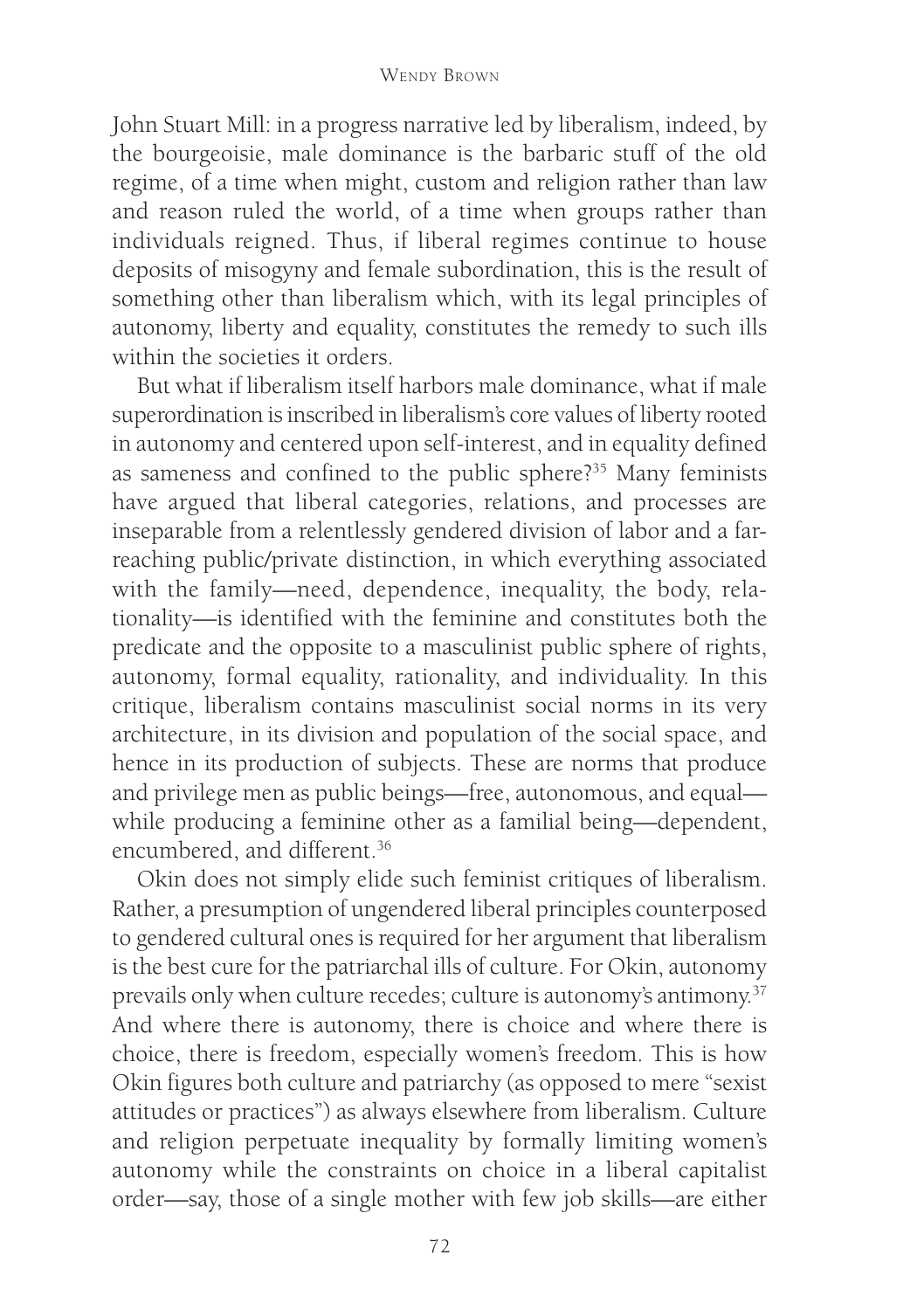John Stuart Mill: in a progress narrative led by liberalism, indeed, by the bourgeoisie, male dominance is the barbaric stuff of the old regime, of a time when might, custom and religion rather than law and reason ruled the world, of a time when groups rather than individuals reigned. Thus, if liberal regimes continue to house deposits of misogyny and female subordination, this is the result of something other than liberalism which, with its legal principles of autonomy, liberty and equality, constitutes the remedy to such ills within the societies it orders.

But what if liberalism itself harbors male dominance, what if male superordination is inscribed in liberalism's core values of liberty rooted in autonomy and centered upon self-interest, and in equality defined as sameness and confined to the public sphere?35 Many feminists have argued that liberal categories, relations, and processes are inseparable from a relentlessly gendered division of labor and a farreaching public/private distinction, in which everything associated with the family—need, dependence, inequality, the body, relationality—is identified with the feminine and constitutes both the predicate and the opposite to a masculinist public sphere of rights, autonomy, formal equality, rationality, and individuality. In this critique, liberalism contains masculinist social norms in its very architecture, in its division and population of the social space, and hence in its production of subjects. These are norms that produce and privilege men as public beings—free, autonomous, and equal while producing a feminine other as a familial being—dependent, encumbered, and different.36

Okin does not simply elide such feminist critiques of liberalism. Rather, a presumption of ungendered liberal principles counterposed to gendered cultural ones is required for her argument that liberalism is the best cure for the patriarchal ills of culture. For Okin, autonomy prevails only when culture recedes; culture is autonomy's antimony.37 And where there is autonomy, there is choice and where there is choice, there is freedom, especially women's freedom. This is how Okin figures both culture and patriarchy (as opposed to mere "sexist attitudes or practices") as always elsewhere from liberalism. Culture and religion perpetuate inequality by formally limiting women's autonomy while the constraints on choice in a liberal capitalist order—say, those of a single mother with few job skills—are either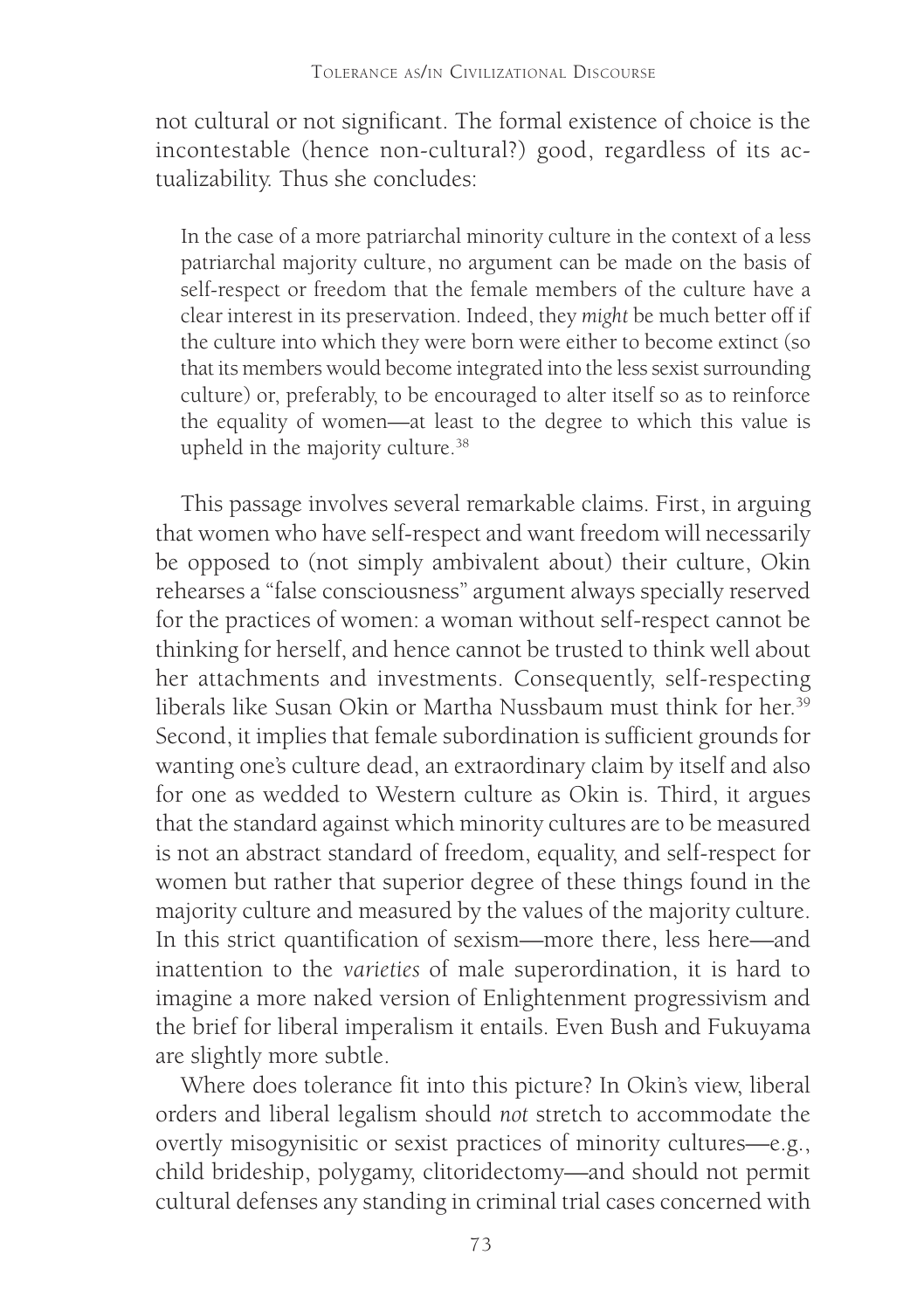not cultural or not significant. The formal existence of choice is the incontestable (hence non-cultural?) good, regardless of its actualizability. Thus she concludes:

In the case of a more patriarchal minority culture in the context of a less patriarchal majority culture, no argument can be made on the basis of self-respect or freedom that the female members of the culture have a clear interest in its preservation. Indeed, they *might* be much better off if the culture into which they were born were either to become extinct (so that its members would become integrated into the less sexist surrounding culture) or, preferably, to be encouraged to alter itself so as to reinforce the equality of women—at least to the degree to which this value is upheld in the majority culture.<sup>38</sup>

This passage involves several remarkable claims. First, in arguing that women who have self-respect and want freedom will necessarily be opposed to (not simply ambivalent about) their culture, Okin rehearses a "false consciousness" argument always specially reserved for the practices of women: a woman without self-respect cannot be thinking for herself, and hence cannot be trusted to think well about her attachments and investments. Consequently, self-respecting liberals like Susan Okin or Martha Nussbaum must think for her.<sup>39</sup> Second, it implies that female subordination is sufficient grounds for wanting one's culture dead, an extraordinary claim by itself and also for one as wedded to Western culture as Okin is. Third, it argues that the standard against which minority cultures are to be measured is not an abstract standard of freedom, equality, and self-respect for women but rather that superior degree of these things found in the majority culture and measured by the values of the majority culture. In this strict quantification of sexism—more there, less here—and inattention to the *varieties* of male superordination, it is hard to imagine a more naked version of Enlightenment progressivism and the brief for liberal imperalism it entails. Even Bush and Fukuyama are slightly more subtle.

Where does tolerance fit into this picture? In Okin's view, liberal orders and liberal legalism should *not* stretch to accommodate the overtly misogynisitic or sexist practices of minority cultures—e.g., child brideship, polygamy, clitoridectomy—and should not permit cultural defenses any standing in criminal trial cases concerned with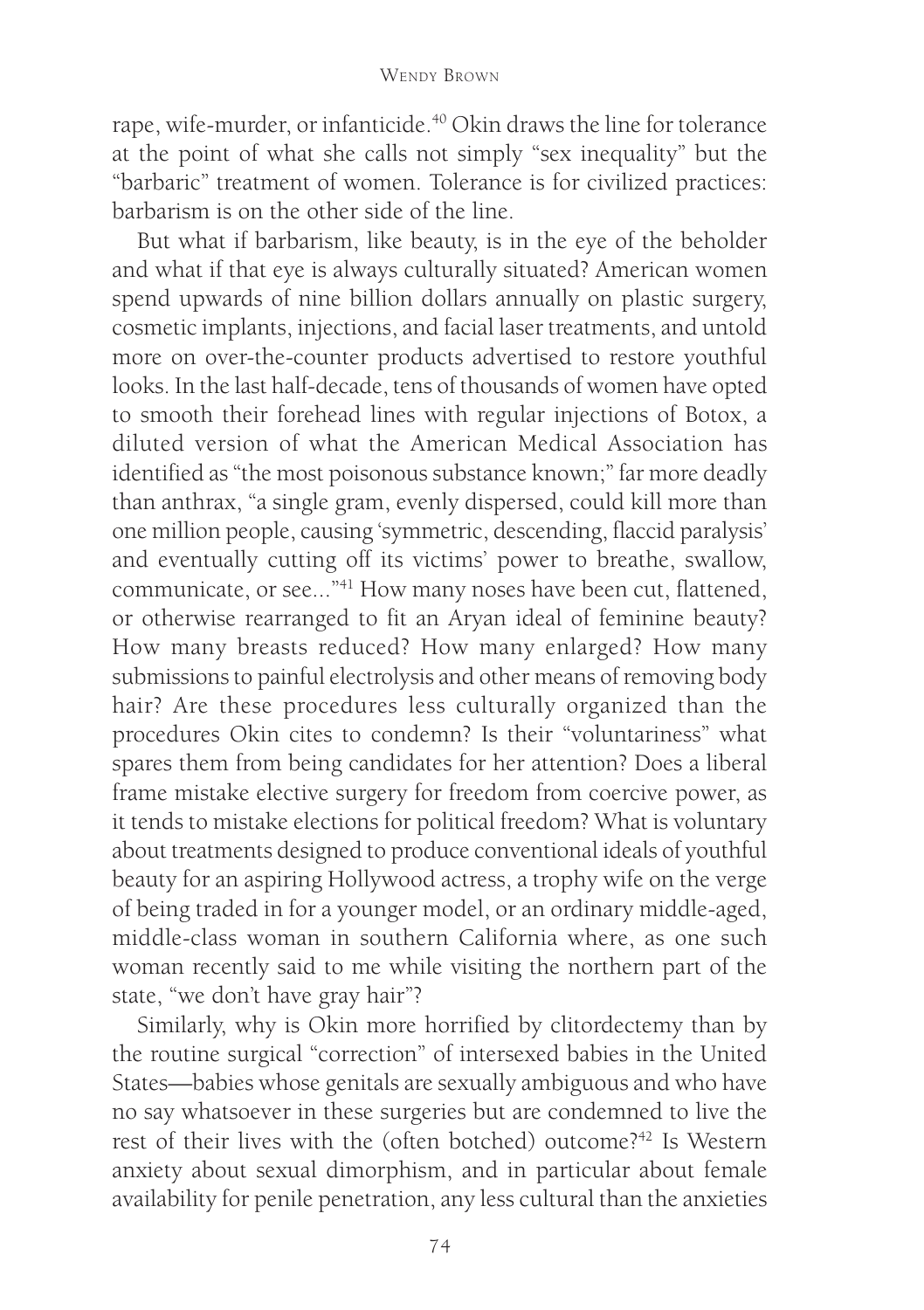rape, wife-murder, or infanticide.<sup>40</sup> Okin draws the line for tolerance at the point of what she calls not simply "sex inequality" but the "barbaric" treatment of women. Tolerance is for civilized practices: barbarism is on the other side of the line.

But what if barbarism, like beauty, is in the eye of the beholder and what if that eye is always culturally situated? American women spend upwards of nine billion dollars annually on plastic surgery, cosmetic implants, injections, and facial laser treatments, and untold more on over-the-counter products advertised to restore youthful looks. In the last half-decade, tens of thousands of women have opted to smooth their forehead lines with regular injections of Botox, a diluted version of what the American Medical Association has identified as "the most poisonous substance known;" far more deadly than anthrax, "a single gram, evenly dispersed, could kill more than one million people, causing 'symmetric, descending, flaccid paralysis' and eventually cutting off its victims' power to breathe, swallow, communicate, or see..."41 How many noses have been cut, flattened, or otherwise rearranged to fit an Aryan ideal of feminine beauty? How many breasts reduced? How many enlarged? How many submissions to painful electrolysis and other means of removing body hair? Are these procedures less culturally organized than the procedures Okin cites to condemn? Is their "voluntariness" what spares them from being candidates for her attention? Does a liberal frame mistake elective surgery for freedom from coercive power, as it tends to mistake elections for political freedom? What is voluntary about treatments designed to produce conventional ideals of youthful beauty for an aspiring Hollywood actress, a trophy wife on the verge of being traded in for a younger model, or an ordinary middle-aged, middle-class woman in southern California where, as one such woman recently said to me while visiting the northern part of the state, "we don't have gray hair"?

Similarly, why is Okin more horrified by clitordectemy than by the routine surgical "correction" of intersexed babies in the United States—babies whose genitals are sexually ambiguous and who have no say whatsoever in these surgeries but are condemned to live the rest of their lives with the (often botched) outcome?<sup>42</sup> Is Western anxiety about sexual dimorphism, and in particular about female availability for penile penetration, any less cultural than the anxieties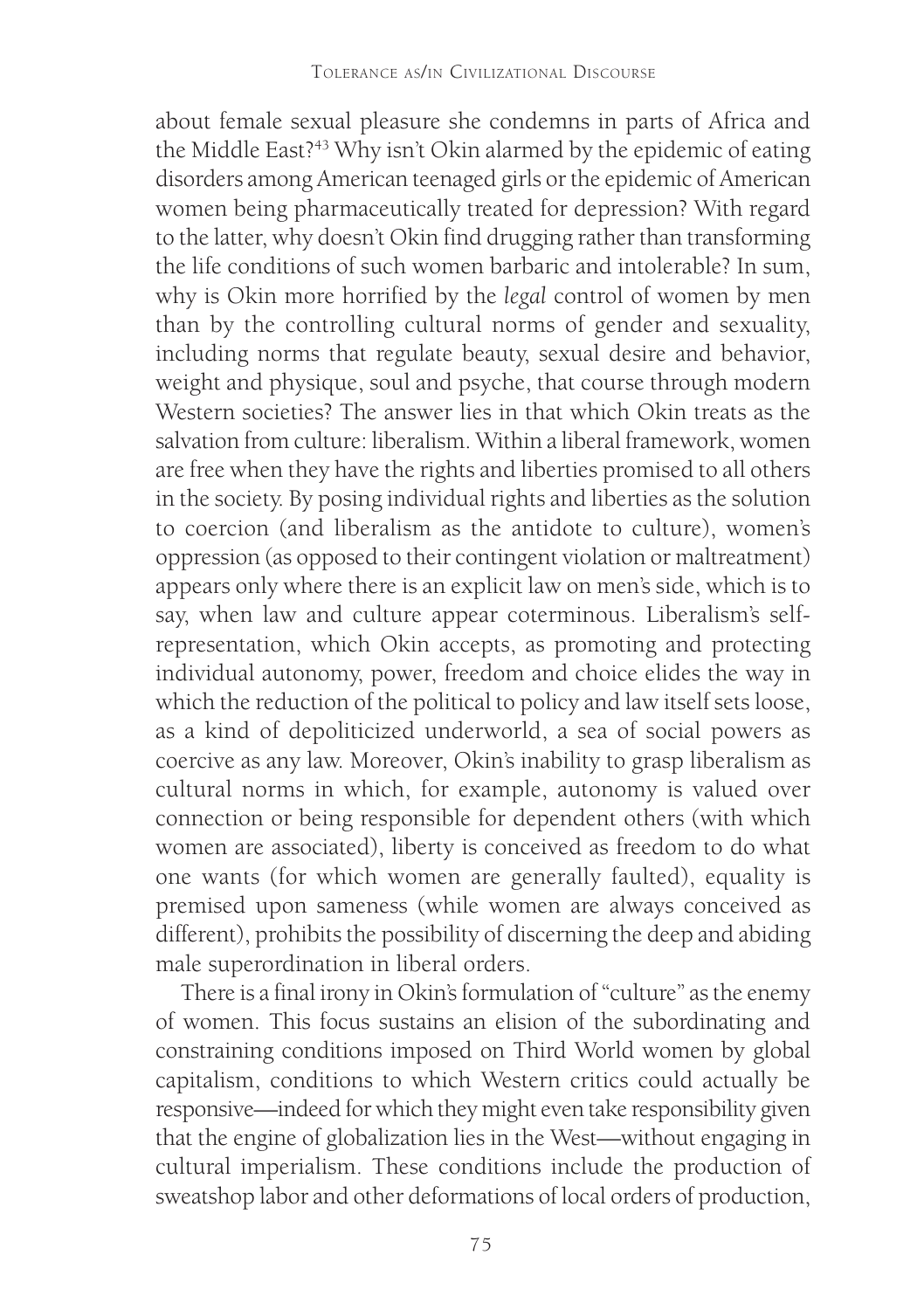about female sexual pleasure she condemns in parts of Africa and the Middle East?<sup>43</sup> Why isn't Okin alarmed by the epidemic of eating disorders among American teenaged girls or the epidemic of American women being pharmaceutically treated for depression? With regard to the latter, why doesn't Okin find drugging rather than transforming the life conditions of such women barbaric and intolerable? In sum, why is Okin more horrified by the *legal* control of women by men than by the controlling cultural norms of gender and sexuality, including norms that regulate beauty, sexual desire and behavior, weight and physique, soul and psyche, that course through modern Western societies? The answer lies in that which Okin treats as the salvation from culture: liberalism. Within a liberal framework, women are free when they have the rights and liberties promised to all others in the society. By posing individual rights and liberties as the solution to coercion (and liberalism as the antidote to culture), women's oppression (as opposed to their contingent violation or maltreatment) appears only where there is an explicit law on men's side, which is to say, when law and culture appear coterminous. Liberalism's selfrepresentation, which Okin accepts, as promoting and protecting individual autonomy, power, freedom and choice elides the way in which the reduction of the political to policy and law itself sets loose, as a kind of depoliticized underworld, a sea of social powers as coercive as any law. Moreover, Okin's inability to grasp liberalism as cultural norms in which, for example, autonomy is valued over connection or being responsible for dependent others (with which women are associated), liberty is conceived as freedom to do what one wants (for which women are generally faulted), equality is premised upon sameness (while women are always conceived as different), prohibits the possibility of discerning the deep and abiding male superordination in liberal orders.

There is a final irony in Okin's formulation of "culture" as the enemy of women. This focus sustains an elision of the subordinating and constraining conditions imposed on Third World women by global capitalism, conditions to which Western critics could actually be responsive—indeed for which they might even take responsibility given that the engine of globalization lies in the West—without engaging in cultural imperialism. These conditions include the production of sweatshop labor and other deformations of local orders of production,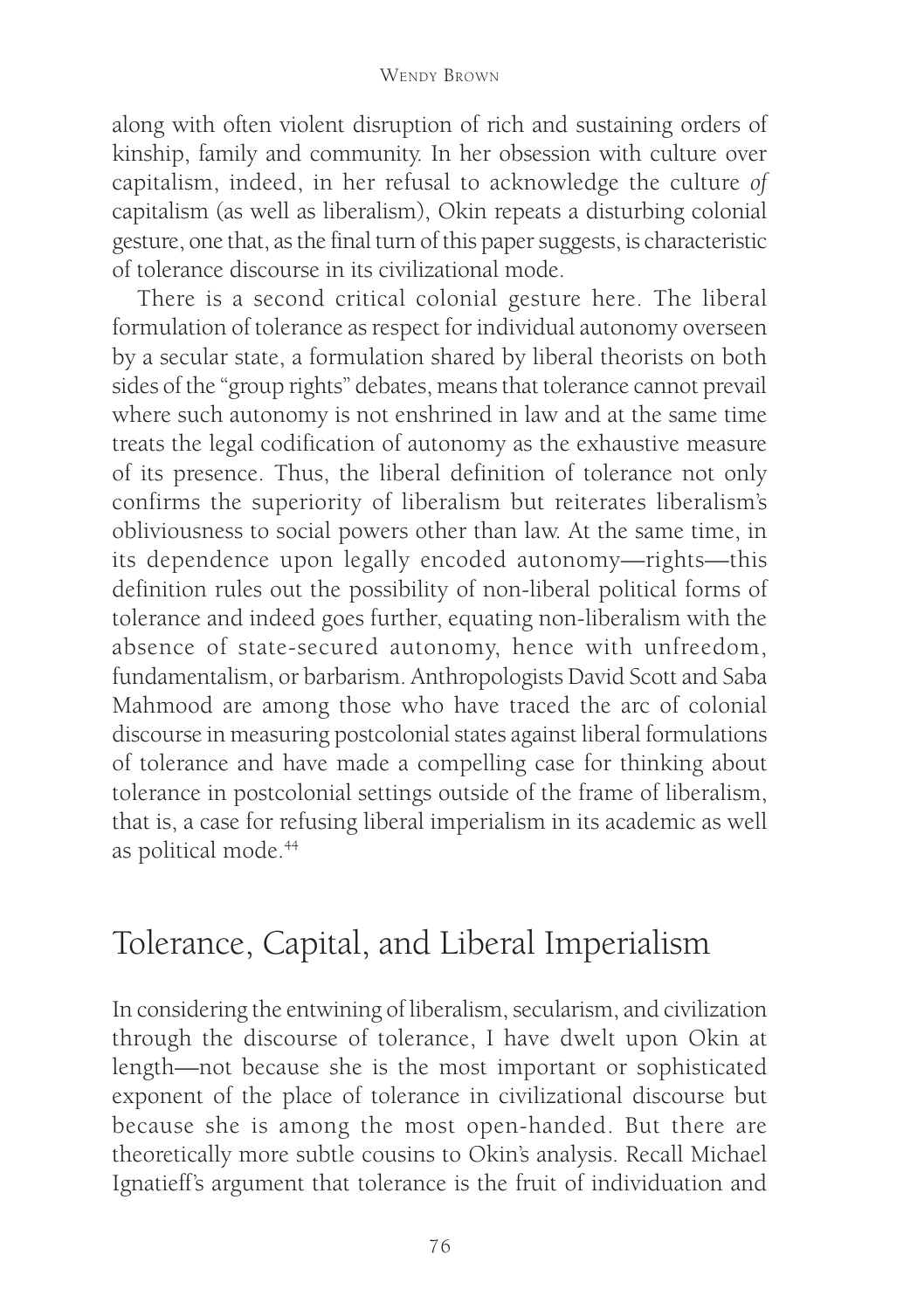#### WENDY BROWN

along with often violent disruption of rich and sustaining orders of kinship, family and community. In her obsession with culture over capitalism, indeed, in her refusal to acknowledge the culture *of* capitalism (as well as liberalism), Okin repeats a disturbing colonial gesture, one that, as the final turn of this paper suggests, is characteristic of tolerance discourse in its civilizational mode.

There is a second critical colonial gesture here. The liberal formulation of tolerance as respect for individual autonomy overseen by a secular state, a formulation shared by liberal theorists on both sides of the "group rights" debates, means that tolerance cannot prevail where such autonomy is not enshrined in law and at the same time treats the legal codification of autonomy as the exhaustive measure of its presence. Thus, the liberal definition of tolerance not only confirms the superiority of liberalism but reiterates liberalism's obliviousness to social powers other than law. At the same time, in its dependence upon legally encoded autonomy—rights—this definition rules out the possibility of non-liberal political forms of tolerance and indeed goes further, equating non-liberalism with the absence of state-secured autonomy, hence with unfreedom, fundamentalism, or barbarism. Anthropologists David Scott and Saba Mahmood are among those who have traced the arc of colonial discourse in measuring postcolonial states against liberal formulations of tolerance and have made a compelling case for thinking about tolerance in postcolonial settings outside of the frame of liberalism, that is, a case for refusing liberal imperialism in its academic as well as political mode.<sup>44</sup>

# Tolerance, Capital, and Liberal Imperialism

In considering the entwining of liberalism, secularism, and civilization through the discourse of tolerance, I have dwelt upon Okin at length—not because she is the most important or sophisticated exponent of the place of tolerance in civilizational discourse but because she is among the most open-handed. But there are theoretically more subtle cousins to Okin's analysis. Recall Michael Ignatieff's argument that tolerance is the fruit of individuation and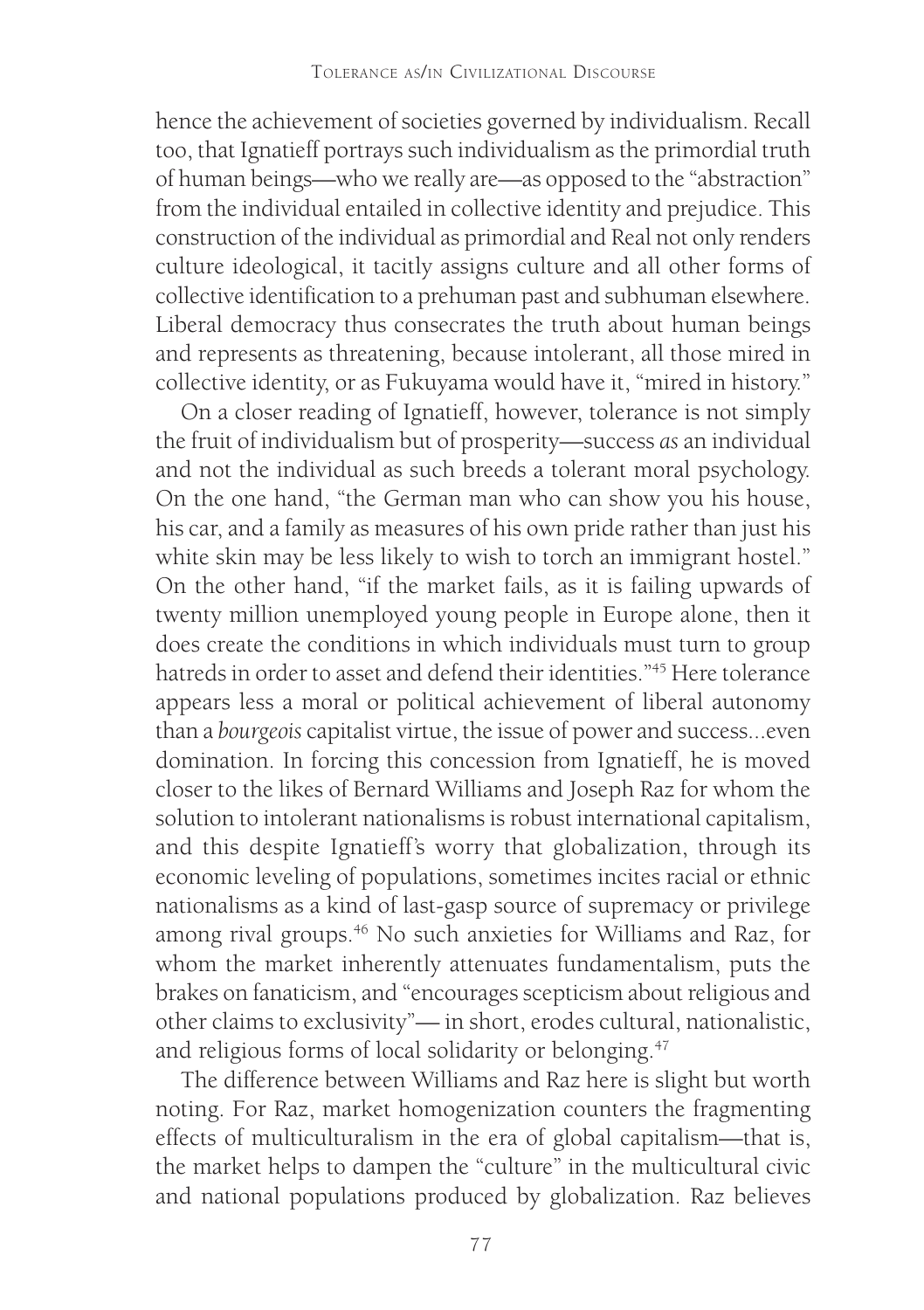hence the achievement of societies governed by individualism. Recall too, that Ignatieff portrays such individualism as the primordial truth of human beings—who we really are—as opposed to the "abstraction" from the individual entailed in collective identity and prejudice. This construction of the individual as primordial and Real not only renders culture ideological, it tacitly assigns culture and all other forms of collective identification to a prehuman past and subhuman elsewhere. Liberal democracy thus consecrates the truth about human beings and represents as threatening, because intolerant, all those mired in collective identity, or as Fukuyama would have it, "mired in history."

On a closer reading of Ignatieff, however, tolerance is not simply the fruit of individualism but of prosperity—success *as* an individual and not the individual as such breeds a tolerant moral psychology. On the one hand, "the German man who can show you his house, his car, and a family as measures of his own pride rather than just his white skin may be less likely to wish to torch an immigrant hostel." On the other hand, "if the market fails, as it is failing upwards of twenty million unemployed young people in Europe alone, then it does create the conditions in which individuals must turn to group hatreds in order to asset and defend their identities."45 Here tolerance appears less a moral or political achievement of liberal autonomy than a *bourgeois* capitalist virtue, the issue of power and success...even domination. In forcing this concession from Ignatieff, he is moved closer to the likes of Bernard Williams and Joseph Raz for whom the solution to intolerant nationalisms is robust international capitalism, and this despite Ignatieff's worry that globalization, through its economic leveling of populations, sometimes incites racial or ethnic nationalisms as a kind of last-gasp source of supremacy or privilege among rival groups.46 No such anxieties for Williams and Raz, for whom the market inherently attenuates fundamentalism, puts the brakes on fanaticism, and "encourages scepticism about religious and other claims to exclusivity"— in short, erodes cultural, nationalistic, and religious forms of local solidarity or belonging.<sup>47</sup>

The difference between Williams and Raz here is slight but worth noting. For Raz, market homogenization counters the fragmenting effects of multiculturalism in the era of global capitalism—that is, the market helps to dampen the "culture" in the multicultural civic and national populations produced by globalization. Raz believes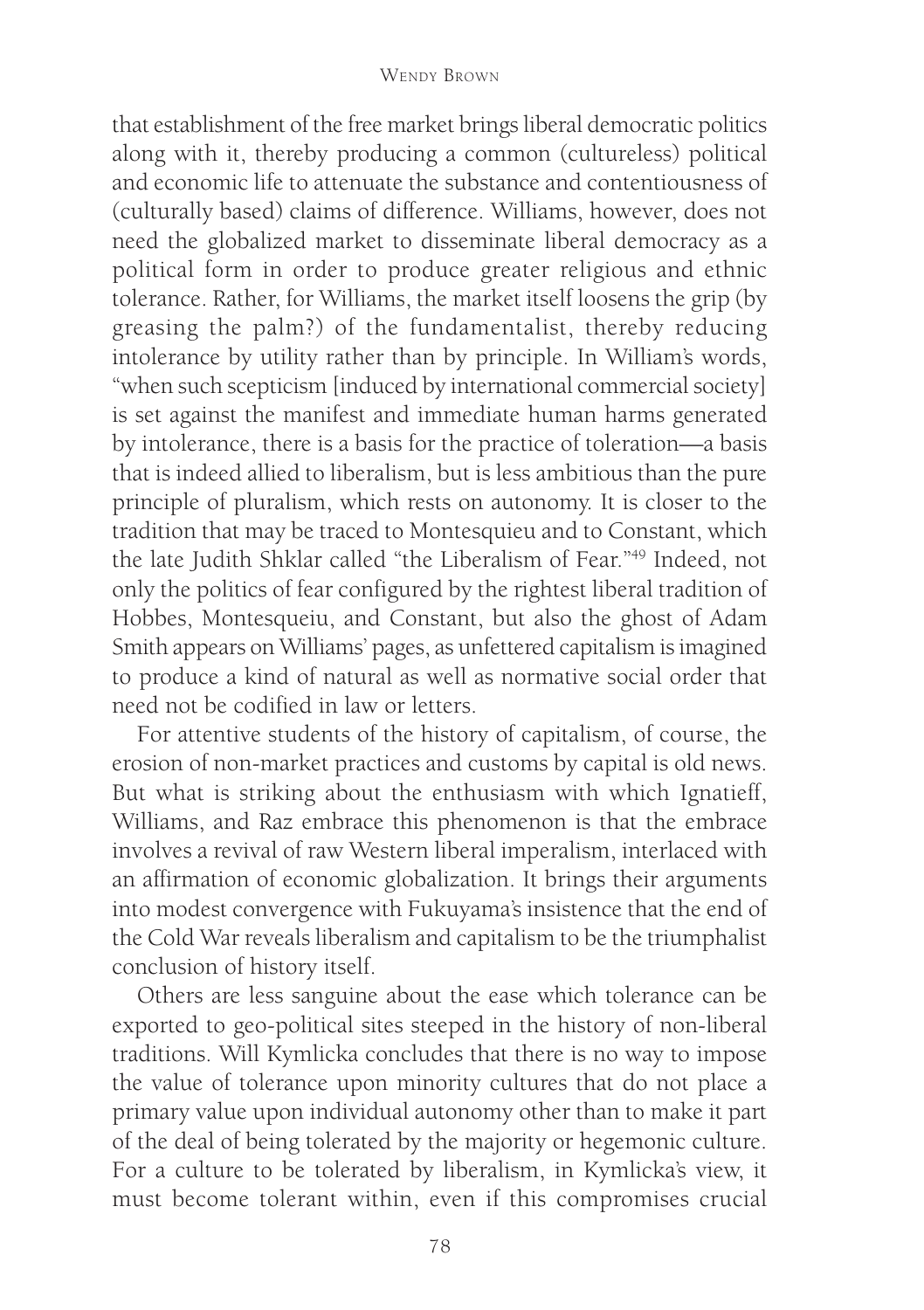that establishment of the free market brings liberal democratic politics along with it, thereby producing a common (cultureless) political and economic life to attenuate the substance and contentiousness of (culturally based) claims of difference. Williams, however, does not need the globalized market to disseminate liberal democracy as a political form in order to produce greater religious and ethnic tolerance. Rather, for Williams, the market itself loosens the grip (by greasing the palm?) of the fundamentalist, thereby reducing intolerance by utility rather than by principle. In William's words, "when such scepticism [induced by international commercial society] is set against the manifest and immediate human harms generated by intolerance, there is a basis for the practice of toleration—a basis that is indeed allied to liberalism, but is less ambitious than the pure principle of pluralism, which rests on autonomy. It is closer to the tradition that may be traced to Montesquieu and to Constant, which the late Judith Shklar called "the Liberalism of Fear."49 Indeed, not only the politics of fear configured by the rightest liberal tradition of Hobbes, Montesqueiu, and Constant, but also the ghost of Adam Smith appears on Williams' pages, as unfettered capitalism is imagined to produce a kind of natural as well as normative social order that need not be codified in law or letters.

For attentive students of the history of capitalism, of course, the erosion of non-market practices and customs by capital is old news. But what is striking about the enthusiasm with which Ignatieff, Williams, and Raz embrace this phenomenon is that the embrace involves a revival of raw Western liberal imperalism, interlaced with an affirmation of economic globalization. It brings their arguments into modest convergence with Fukuyama's insistence that the end of the Cold War reveals liberalism and capitalism to be the triumphalist conclusion of history itself.

Others are less sanguine about the ease which tolerance can be exported to geo-political sites steeped in the history of non-liberal traditions. Will Kymlicka concludes that there is no way to impose the value of tolerance upon minority cultures that do not place a primary value upon individual autonomy other than to make it part of the deal of being tolerated by the majority or hegemonic culture. For a culture to be tolerated by liberalism, in Kymlicka's view, it must become tolerant within, even if this compromises crucial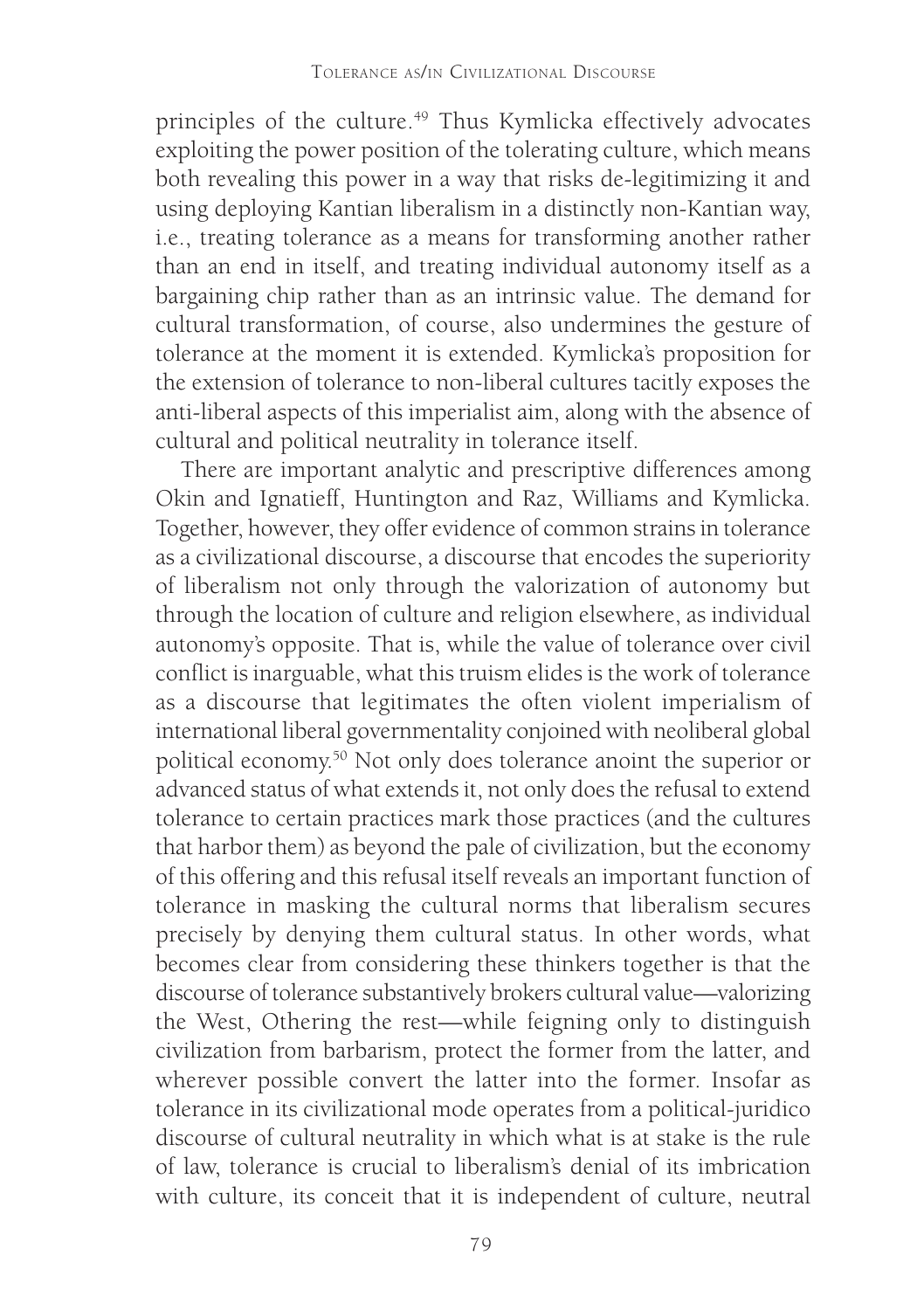principles of the culture.<sup>49</sup> Thus Kymlicka effectively advocates exploiting the power position of the tolerating culture, which means both revealing this power in a way that risks de-legitimizing it and using deploying Kantian liberalism in a distinctly non-Kantian way, i.e., treating tolerance as a means for transforming another rather than an end in itself, and treating individual autonomy itself as a bargaining chip rather than as an intrinsic value. The demand for cultural transformation, of course, also undermines the gesture of tolerance at the moment it is extended. Kymlicka's proposition for the extension of tolerance to non-liberal cultures tacitly exposes the anti-liberal aspects of this imperialist aim, along with the absence of cultural and political neutrality in tolerance itself.

There are important analytic and prescriptive differences among Okin and Ignatieff, Huntington and Raz, Williams and Kymlicka. Together, however, they offer evidence of common strains in tolerance as a civilizational discourse, a discourse that encodes the superiority of liberalism not only through the valorization of autonomy but through the location of culture and religion elsewhere, as individual autonomy's opposite. That is, while the value of tolerance over civil conflict is inarguable, what this truism elides is the work of tolerance as a discourse that legitimates the often violent imperialism of international liberal governmentality conjoined with neoliberal global political economy.50 Not only does tolerance anoint the superior or advanced status of what extends it, not only does the refusal to extend tolerance to certain practices mark those practices (and the cultures that harbor them) as beyond the pale of civilization, but the economy of this offering and this refusal itself reveals an important function of tolerance in masking the cultural norms that liberalism secures precisely by denying them cultural status. In other words, what becomes clear from considering these thinkers together is that the discourse of tolerance substantively brokers cultural value—valorizing the West, Othering the rest—while feigning only to distinguish civilization from barbarism, protect the former from the latter, and wherever possible convert the latter into the former. Insofar as tolerance in its civilizational mode operates from a political-juridico discourse of cultural neutrality in which what is at stake is the rule of law, tolerance is crucial to liberalism's denial of its imbrication with culture, its conceit that it is independent of culture, neutral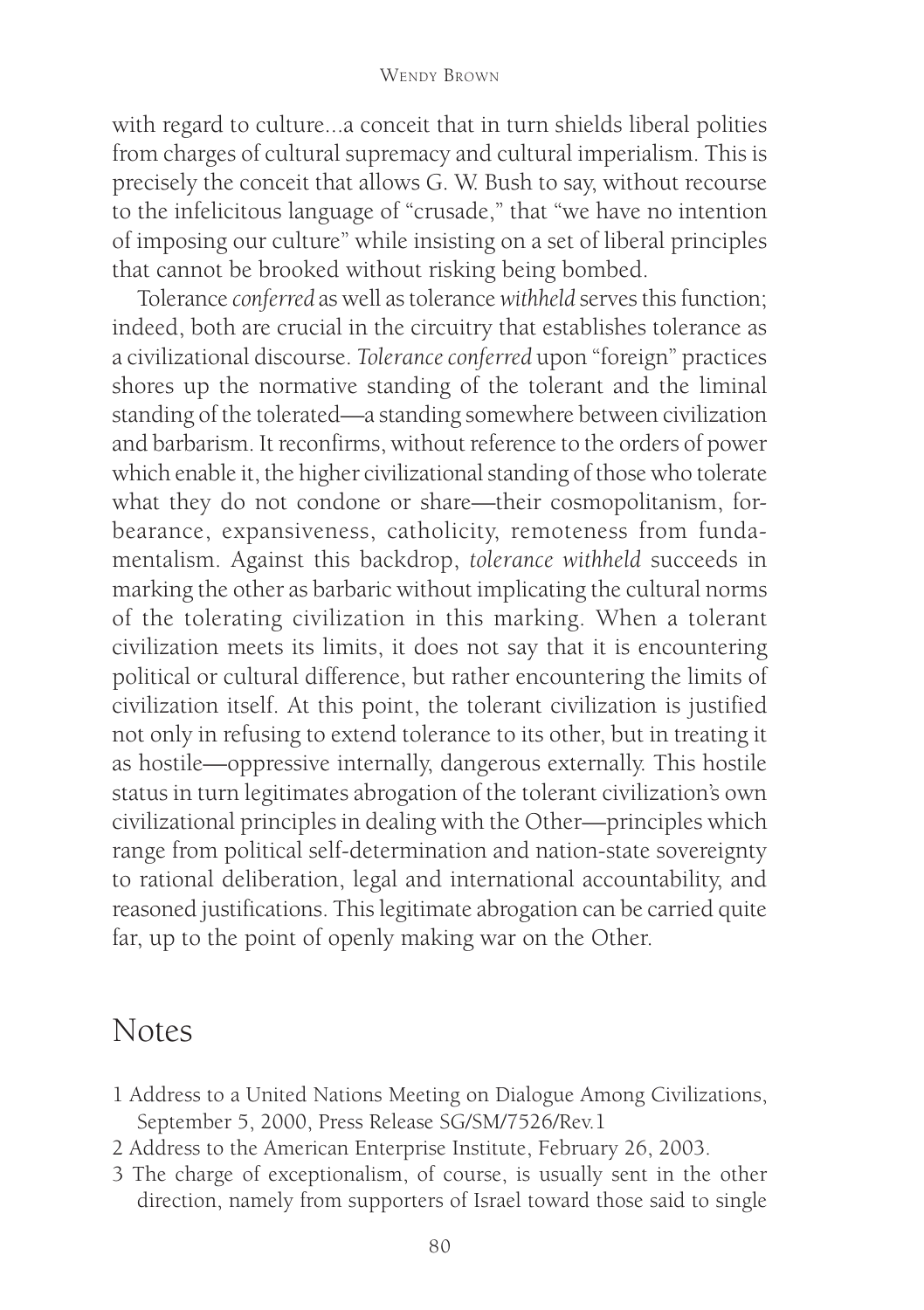with regard to culture...a conceit that in turn shields liberal polities from charges of cultural supremacy and cultural imperialism. This is precisely the conceit that allows G. W. Bush to say, without recourse to the infelicitous language of "crusade," that "we have no intention of imposing our culture" while insisting on a set of liberal principles that cannot be brooked without risking being bombed.

Tolerance *conferred* as well as tolerance *withheld* serves this function; indeed, both are crucial in the circuitry that establishes tolerance as a civilizational discourse. *Tolerance conferred* upon "foreign" practices shores up the normative standing of the tolerant and the liminal standing of the tolerated—a standing somewhere between civilization and barbarism. It reconfirms, without reference to the orders of power which enable it, the higher civilizational standing of those who tolerate what they do not condone or share—their cosmopolitanism, forbearance, expansiveness, catholicity, remoteness from fundamentalism. Against this backdrop, *tolerance withheld* succeeds in marking the other as barbaric without implicating the cultural norms of the tolerating civilization in this marking. When a tolerant civilization meets its limits, it does not say that it is encountering political or cultural difference, but rather encountering the limits of civilization itself. At this point, the tolerant civilization is justified not only in refusing to extend tolerance to its other, but in treating it as hostile—oppressive internally, dangerous externally. This hostile status in turn legitimates abrogation of the tolerant civilization's own civilizational principles in dealing with the Other—principles which range from political self-determination and nation-state sovereignty to rational deliberation, legal and international accountability, and reasoned justifications. This legitimate abrogation can be carried quite far, up to the point of openly making war on the Other.

## Notes

- 1 Address to a United Nations Meeting on Dialogue Among Civilizations, September 5, 2000, Press Release SG/SM/7526/Rev.1
- 2 Address to the American Enterprise Institute, February 26, 2003.
- 3 The charge of exceptionalism, of course, is usually sent in the other direction, namely from supporters of Israel toward those said to single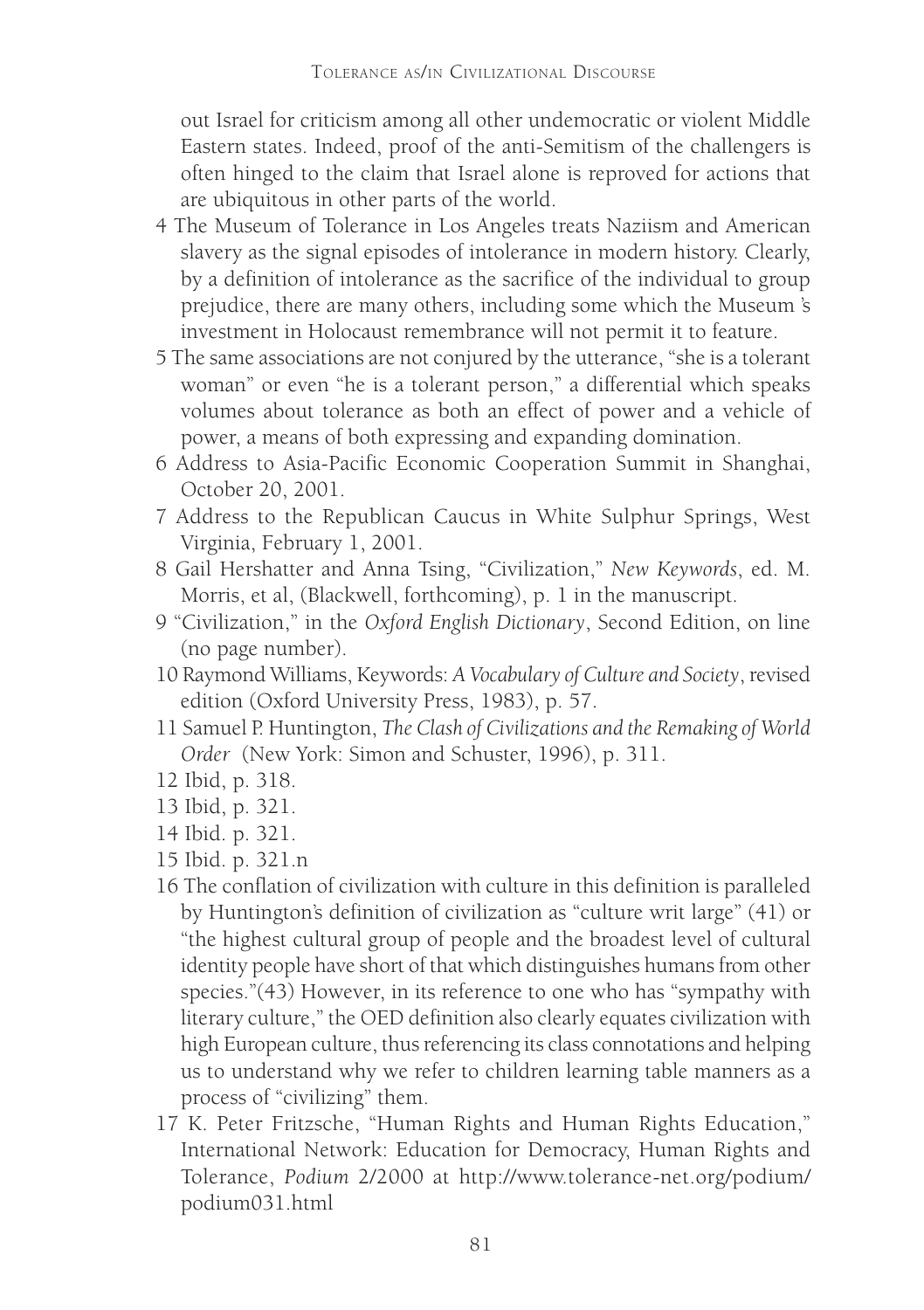out Israel for criticism among all other undemocratic or violent Middle Eastern states. Indeed, proof of the anti-Semitism of the challengers is often hinged to the claim that Israel alone is reproved for actions that are ubiquitous in other parts of the world.

- 4 The Museum of Tolerance in Los Angeles treats Naziism and American slavery as the signal episodes of intolerance in modern history. Clearly, by a definition of intolerance as the sacrifice of the individual to group prejudice, there are many others, including some which the Museum 's investment in Holocaust remembrance will not permit it to feature.
- 5 The same associations are not conjured by the utterance, "she is a tolerant woman" or even "he is a tolerant person," a differential which speaks volumes about tolerance as both an effect of power and a vehicle of power, a means of both expressing and expanding domination.
- 6 Address to Asia-Pacific Economic Cooperation Summit in Shanghai, October 20, 2001.
- 7 Address to the Republican Caucus in White Sulphur Springs, West Virginia, February 1, 2001.
- 8 Gail Hershatter and Anna Tsing, "Civilization," *New Keywords*, ed. M. Morris, et al, (Blackwell, forthcoming), p. 1 in the manuscript.
- 9 "Civilization," in the *Oxford English Dictionary*, Second Edition, on line (no page number).
- 10 Raymond Williams, Keywords: *A Vocabulary of Culture and Society*, revised edition (Oxford University Press, 1983), p. 57.
- 11 Samuel P. Huntington, *The Clash of Civilizations and the Remaking of World Order* (New York: Simon and Schuster, 1996), p. 311.
- 12 Ibid, p. 318.
- 13 Ibid, p. 321.
- 14 Ibid. p. 321.
- 15 Ibid. p. 321.n
- 16 The conflation of civilization with culture in this definition is paralleled by Huntington's definition of civilization as "culture writ large" (41) or "the highest cultural group of people and the broadest level of cultural identity people have short of that which distinguishes humans from other species."(43) However, in its reference to one who has "sympathy with literary culture," the OED definition also clearly equates civilization with high European culture, thus referencing its class connotations and helping us to understand why we refer to children learning table manners as a process of "civilizing" them.
- 17 K. Peter Fritzsche, "Human Rights and Human Rights Education," International Network: Education for Democracy, Human Rights and Tolerance, *Podium* 2/2000 at http://www.tolerance-net.org/podium/ podium031.html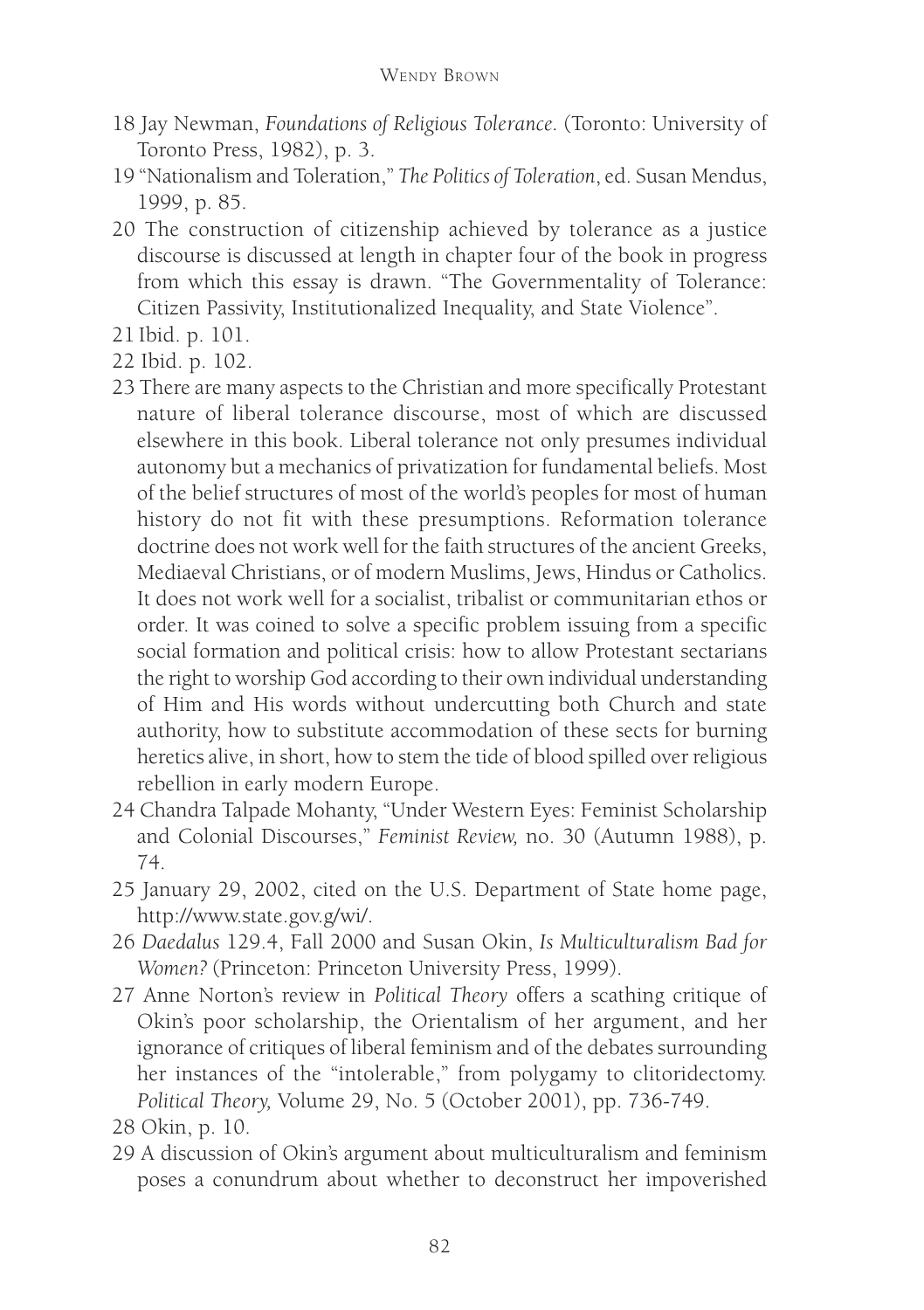- 18 Jay Newman, *Foundations of Religious Tolerance.* (Toronto: University of Toronto Press, 1982), p. 3.
- 19 "Nationalism and Toleration," *The Politics of Toleration*, ed. Susan Mendus, 1999, p. 85.
- 20 The construction of citizenship achieved by tolerance as a justice discourse is discussed at length in chapter four of the book in progress from which this essay is drawn. "The Governmentality of Tolerance: Citizen Passivity, Institutionalized Inequality, and State Violence".
- 21 Ibid. p. 101.
- 22 Ibid. p. 102.
- 23 There are many aspects to the Christian and more specifically Protestant nature of liberal tolerance discourse, most of which are discussed elsewhere in this book. Liberal tolerance not only presumes individual autonomy but a mechanics of privatization for fundamental beliefs. Most of the belief structures of most of the world's peoples for most of human history do not fit with these presumptions. Reformation tolerance doctrine does not work well for the faith structures of the ancient Greeks, Mediaeval Christians, or of modern Muslims, Jews, Hindus or Catholics. It does not work well for a socialist, tribalist or communitarian ethos or order. It was coined to solve a specific problem issuing from a specific social formation and political crisis: how to allow Protestant sectarians the right to worship God according to their own individual understanding of Him and His words without undercutting both Church and state authority, how to substitute accommodation of these sects for burning heretics alive, in short, how to stem the tide of blood spilled over religious rebellion in early modern Europe.
- 24 Chandra Talpade Mohanty, "Under Western Eyes: Feminist Scholarship and Colonial Discourses," *Feminist Review,* no. 30 (Autumn 1988), p. 74.
- 25 January 29, 2002, cited on the U.S. Department of State home page, http://www.state.gov.g/wi/.
- 26 *Daedalus* 129.4, Fall 2000 and Susan Okin, *Is Multiculturalism Bad for Women?* (Princeton: Princeton University Press, 1999).
- 27 Anne Norton's review in *Political Theory* offers a scathing critique of Okin's poor scholarship, the Orientalism of her argument, and her ignorance of critiques of liberal feminism and of the debates surrounding her instances of the "intolerable," from polygamy to clitoridectomy. *Political Theory,* Volume 29, No. 5 (October 2001), pp. 736-749.

29 A discussion of Okin's argument about multiculturalism and feminism poses a conundrum about whether to deconstruct her impoverished

<sup>28</sup> Okin, p. 10.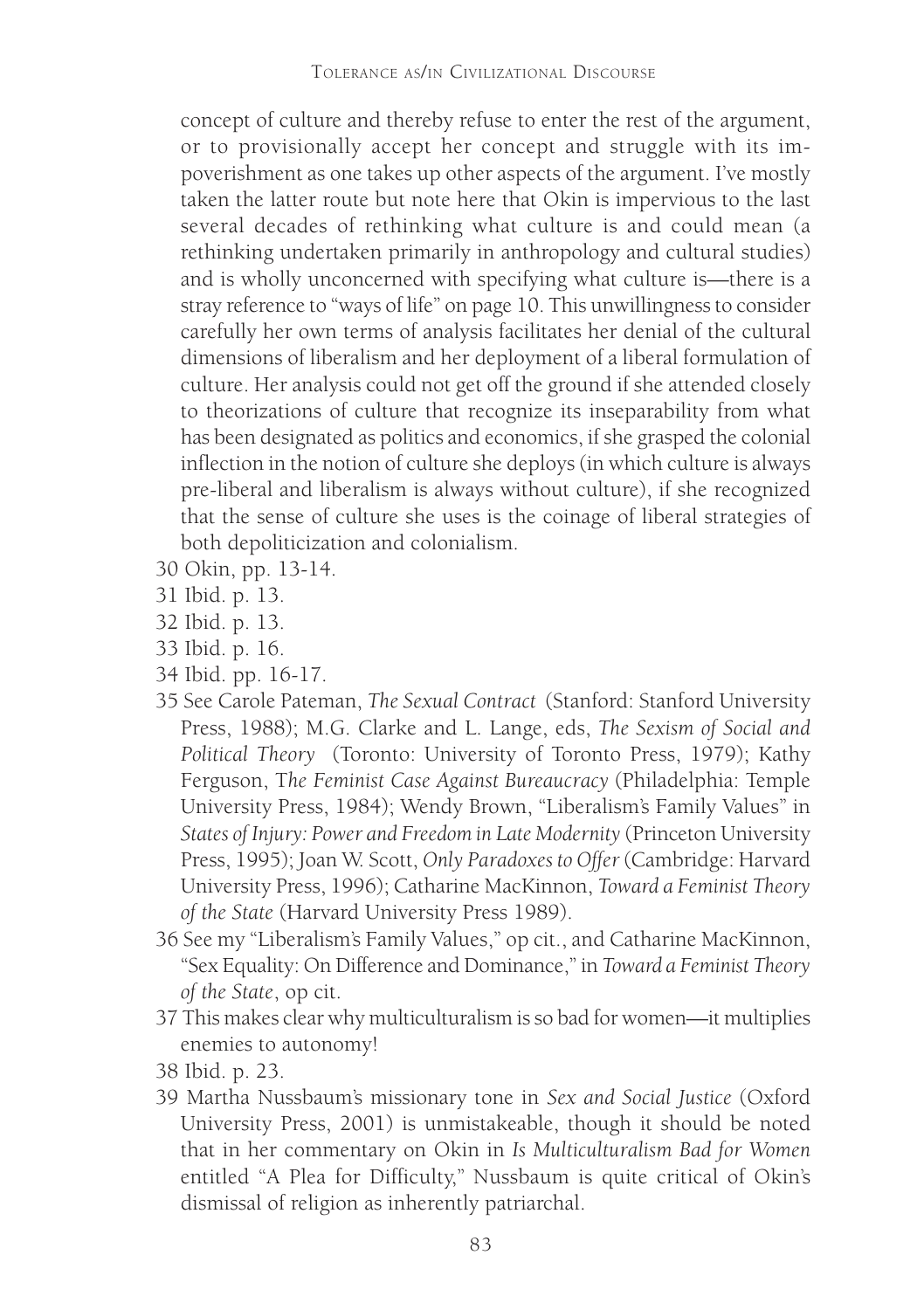concept of culture and thereby refuse to enter the rest of the argument, or to provisionally accept her concept and struggle with its impoverishment as one takes up other aspects of the argument. I've mostly taken the latter route but note here that Okin is impervious to the last several decades of rethinking what culture is and could mean (a rethinking undertaken primarily in anthropology and cultural studies) and is wholly unconcerned with specifying what culture is—there is a stray reference to "ways of life" on page 10. This unwillingness to consider carefully her own terms of analysis facilitates her denial of the cultural dimensions of liberalism and her deployment of a liberal formulation of culture. Her analysis could not get off the ground if she attended closely to theorizations of culture that recognize its inseparability from what has been designated as politics and economics, if she grasped the colonial inflection in the notion of culture she deploys (in which culture is always pre-liberal and liberalism is always without culture), if she recognized that the sense of culture she uses is the coinage of liberal strategies of both depoliticization and colonialism.

- 30 Okin, pp. 13-14.
- 31 Ibid. p. 13.
- 32 Ibid. p. 13.
- 33 Ibid. p. 16.
- 34 Ibid. pp. 16-17.
- 35 See Carole Pateman, *The Sexual Contract* (Stanford: Stanford University Press, 1988); M.G. Clarke and L. Lange, eds, *The Sexism of Social and Political Theory* (Toronto: University of Toronto Press, 1979); Kathy Ferguson, T*he Feminist Case Against Bureaucracy* (Philadelphia: Temple University Press, 1984); Wendy Brown, "Liberalism's Family Values" in *States of Injury: Power and Freedom in Late Modernity* (Princeton University Press, 1995); Joan W. Scott, *Only Paradoxes to Offer* (Cambridge: Harvard University Press, 1996); Catharine MacKinnon, *Toward a Feminist Theory of the State* (Harvard University Press 1989).
- 36 See my "Liberalism's Family Values," op cit., and Catharine MacKinnon, "Sex Equality: On Difference and Dominance," in *Toward a Feminist Theory of the State*, op cit.
- 37 This makes clear why multiculturalism is so bad for women—it multiplies enemies to autonomy!
- 38 Ibid. p. 23.
- 39 Martha Nussbaum's missionary tone in *Sex and Social Justice* (Oxford University Press, 2001) is unmistakeable, though it should be noted that in her commentary on Okin in *Is Multiculturalism Bad for Women* entitled "A Plea for Difficulty," Nussbaum is quite critical of Okin's dismissal of religion as inherently patriarchal.